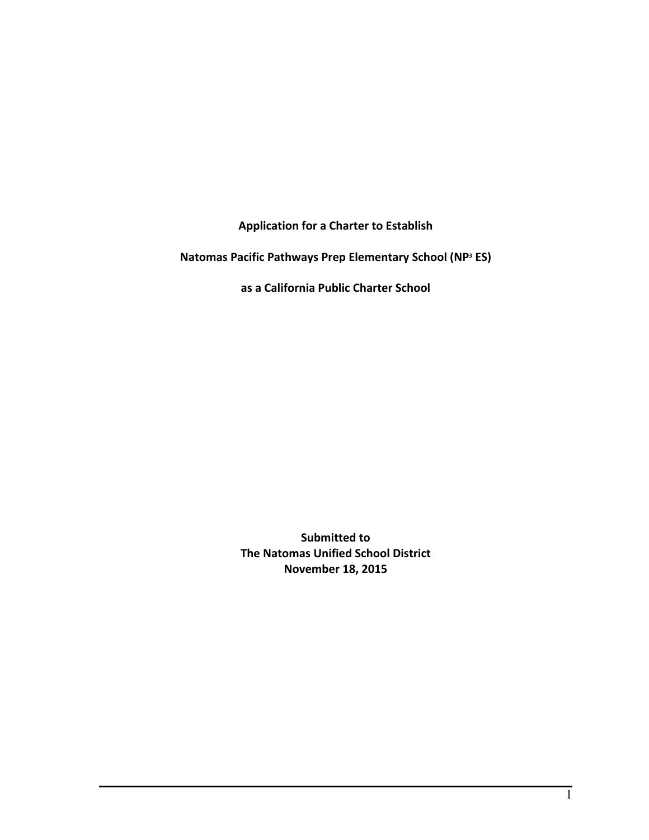**Application for a Charter to Establish**

**Natomas Pacific Pathways Prep Elementary School (NP<sup>3</sup> ES)**

**as a California Public Charter School**

**Submitted to The Natomas Unified School District November 18, 2015**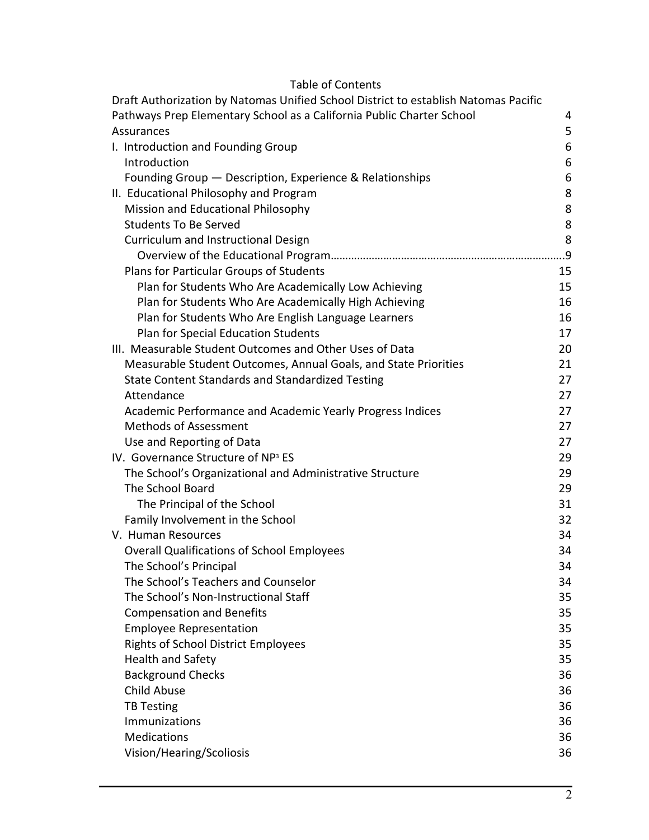# Table of Contents

| Draft Authorization by Natomas Unified School District to establish Natomas Pacific |    |
|-------------------------------------------------------------------------------------|----|
| Pathways Prep Elementary School as a California Public Charter School               | 4  |
| Assurances                                                                          | 5  |
| I. Introduction and Founding Group                                                  | 6  |
| Introduction                                                                        | 6  |
| Founding Group - Description, Experience & Relationships                            | 6  |
| II. Educational Philosophy and Program                                              | 8  |
| Mission and Educational Philosophy                                                  | 8  |
| <b>Students To Be Served</b>                                                        | 8  |
| Curriculum and Instructional Design                                                 | 8  |
|                                                                                     |    |
| Plans for Particular Groups of Students                                             | 15 |
| Plan for Students Who Are Academically Low Achieving                                | 15 |
| Plan for Students Who Are Academically High Achieving                               | 16 |
| Plan for Students Who Are English Language Learners                                 | 16 |
| Plan for Special Education Students                                                 | 17 |
| III. Measurable Student Outcomes and Other Uses of Data                             | 20 |
| Measurable Student Outcomes, Annual Goals, and State Priorities                     | 21 |
| <b>State Content Standards and Standardized Testing</b>                             | 27 |
| Attendance                                                                          | 27 |
| Academic Performance and Academic Yearly Progress Indices                           | 27 |
| <b>Methods of Assessment</b>                                                        | 27 |
| Use and Reporting of Data                                                           | 27 |
| IV. Governance Structure of NP <sup>3</sup> ES                                      | 29 |
| The School's Organizational and Administrative Structure                            | 29 |
| The School Board                                                                    | 29 |
| The Principal of the School                                                         | 31 |
| Family Involvement in the School                                                    | 32 |
| V. Human Resources                                                                  | 34 |
| <b>Overall Qualifications of School Employees</b>                                   | 34 |
| The School's Principal                                                              | 34 |
| The School's Teachers and Counselor                                                 | 34 |
| The School's Non-Instructional Staff                                                | 35 |
| <b>Compensation and Benefits</b>                                                    | 35 |
| <b>Employee Representation</b>                                                      | 35 |
| <b>Rights of School District Employees</b>                                          | 35 |
| <b>Health and Safety</b>                                                            | 35 |
| <b>Background Checks</b>                                                            | 36 |
| <b>Child Abuse</b>                                                                  | 36 |
| <b>TB Testing</b>                                                                   | 36 |
| Immunizations                                                                       | 36 |
| Medications                                                                         | 36 |
| Vision/Hearing/Scoliosis                                                            | 36 |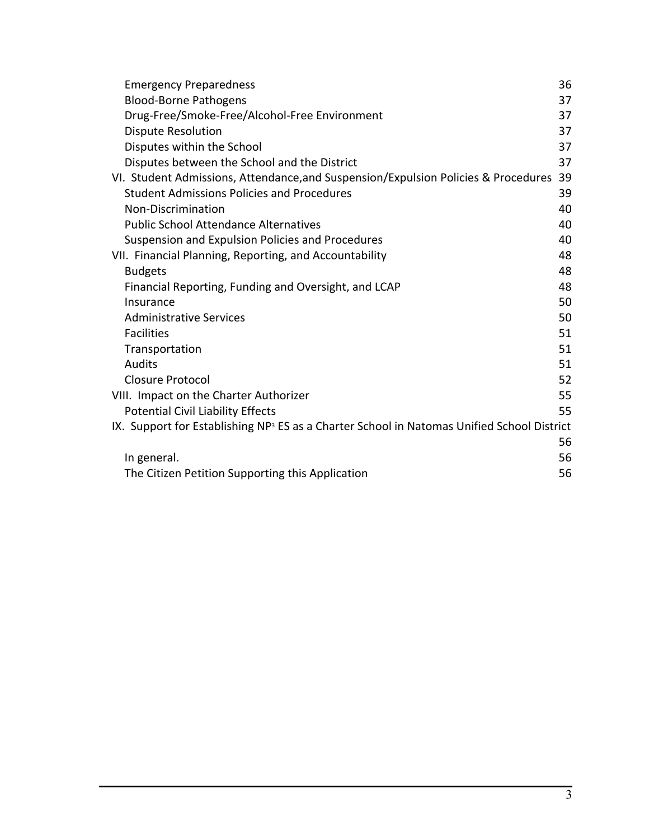| <b>Emergency Preparedness</b>                                                                          | 36 |
|--------------------------------------------------------------------------------------------------------|----|
| <b>Blood-Borne Pathogens</b>                                                                           | 37 |
| Drug-Free/Smoke-Free/Alcohol-Free Environment                                                          | 37 |
| <b>Dispute Resolution</b>                                                                              | 37 |
| Disputes within the School                                                                             | 37 |
| Disputes between the School and the District                                                           | 37 |
| VI. Student Admissions, Attendance, and Suspension/Expulsion Policies & Procedures 39                  |    |
| <b>Student Admissions Policies and Procedures</b>                                                      | 39 |
| Non-Discrimination                                                                                     | 40 |
| <b>Public School Attendance Alternatives</b>                                                           | 40 |
| Suspension and Expulsion Policies and Procedures                                                       | 40 |
| VII. Financial Planning, Reporting, and Accountability                                                 | 48 |
| <b>Budgets</b>                                                                                         | 48 |
| Financial Reporting, Funding and Oversight, and LCAP                                                   | 48 |
| Insurance                                                                                              | 50 |
| <b>Administrative Services</b>                                                                         | 50 |
| Facilities                                                                                             | 51 |
| Transportation                                                                                         | 51 |
| Audits                                                                                                 | 51 |
| <b>Closure Protocol</b>                                                                                | 52 |
| VIII. Impact on the Charter Authorizer                                                                 | 55 |
| <b>Potential Civil Liability Effects</b>                                                               | 55 |
| IX. Support for Establishing NP <sup>3</sup> ES as a Charter School in Natomas Unified School District |    |
|                                                                                                        | 56 |
| In general.                                                                                            | 56 |
| The Citizen Petition Supporting this Application                                                       | 56 |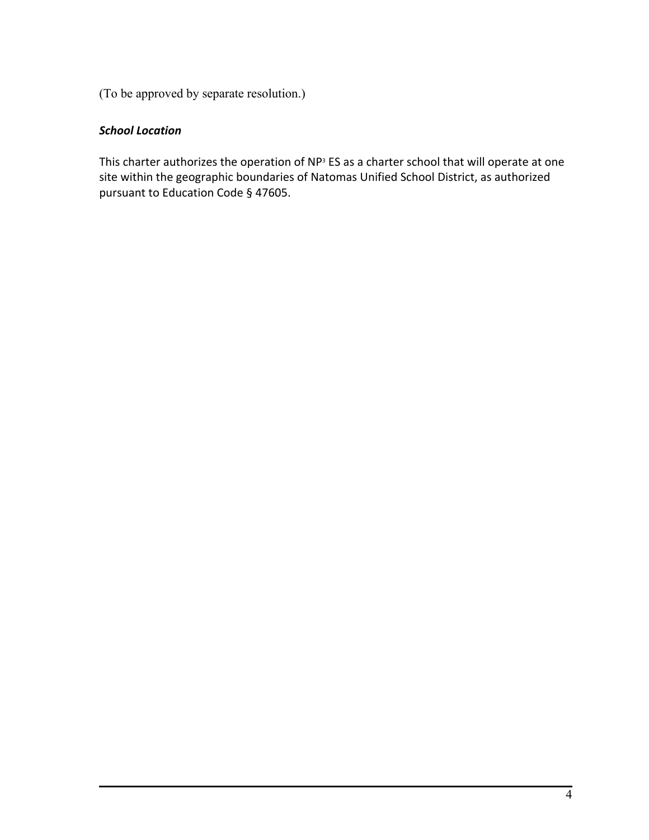(To be approved by separate resolution.)

### *School Location*

This charter authorizes the operation of NP<sup>3</sup> ES as a charter school that will operate at one site within the geographic boundaries of Natomas Unified School District, as authorized pursuant to Education Code § 47605.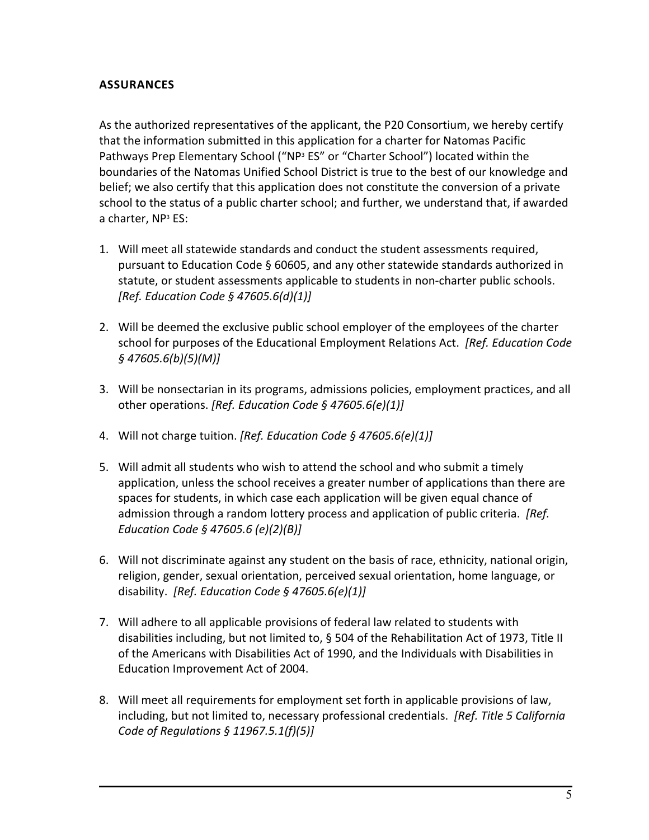#### **ASSURANCES**

As the authorized representatives of the applicant, the P20 Consortium, we hereby certify that the information submitted in this application for a charter for Natomas Pacific Pathways Prep Elementary School ("NP<sup>3</sup> ES" or "Charter School") located within the boundaries of the Natomas Unified School District is true to the best of our knowledge and belief; we also certify that this application does not constitute the conversion of a private school to the status of a public charter school; and further, we understand that, if awarded a charter, NP<sup>3</sup> ES:

- 1. Will meet all statewide standards and conduct the student assessments required, pursuant to Education Code § 60605, and any other statewide standards authorized in statute, or student assessments applicable to students in non-charter public schools. *[Ref. Education Code § 47605.6(d)(1)]*
- 2. Will be deemed the exclusive public school employer of the employees of the charter school for purposes of the Educational Employment Relations Act. *[Ref. Education Code § 47605.6(b)(5)(M)]*
- 3. Will be nonsectarian in its programs, admissions policies, employment practices, and all other operations. *[Ref. Education Code § 47605.6(e)(1)]*
- 4. Will not charge tuition. *[Ref. Education Code § 47605.6(e)(1)]*
- 5. Will admit all students who wish to attend the school and who submit a timely application, unless the school receives a greater number of applications than there are spaces for students, in which case each application will be given equal chance of admission through a random lottery process and application of public criteria. *[Ref. Education Code § 47605.6 (e)(2)(B)]*
- 6. Will not discriminate against any student on the basis of race, ethnicity, national origin, religion, gender, sexual orientation, perceived sexual orientation, home language, or disability. *[Ref. Education Code § 47605.6(e)(1)]*
- 7. Will adhere to all applicable provisions of federal law related to students with disabilities including, but not limited to, § 504 of the Rehabilitation Act of 1973, Title II of the Americans with Disabilities Act of 1990, and the Individuals with Disabilities in Education Improvement Act of 2004.
- 8. Will meet all requirements for employment set forth in applicable provisions of law, including, but not limited to, necessary professional credentials. *[Ref. Title 5 California Code of Regulations § 11967.5.1(f)(5)]*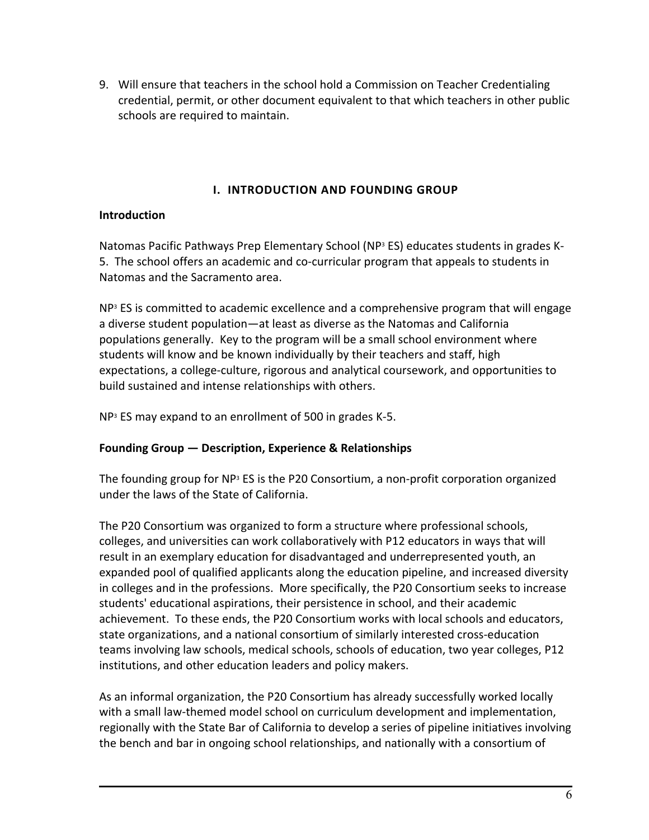9. Will ensure that teachers in the school hold a Commission on Teacher Credentialing credential, permit, or other document equivalent to that which teachers in other public schools are required to maintain.

### **I. INTRODUCTION AND FOUNDING GROUP**

### **Introduction**

Natomas Pacific Pathways Prep Elementary School (NP<sup>3</sup> ES) educates students in grades K-5. The school offers an academic and co-curricular program that appeals to students in Natomas and the Sacramento area.

NP<sup>3</sup> ES is committed to academic excellence and a comprehensive program that will engage a diverse student population—at least as diverse as the Natomas and California populations generally. Key to the program will be a small school environment where students will know and be known individually by their teachers and staff, high expectations, a college-culture, rigorous and analytical coursework, and opportunities to build sustained and intense relationships with others.

NP<sup>3</sup> ES may expand to an enrollment of 500 in grades K-5.

## **Founding Group — Description, Experience & Relationships**

The founding group for NP<sup>3</sup> ES is the P20 Consortium, a non-profit corporation organized under the laws of the State of California.

The P20 Consortium was organized to form a structure where professional schools, colleges, and universities can work collaboratively with P12 educators in ways that will result in an exemplary education for disadvantaged and underrepresented youth, an expanded pool of qualified applicants along the education pipeline, and increased diversity in colleges and in the professions. More specifically, the P20 Consortium seeks to increase students' educational aspirations, their persistence in school, and their academic achievement. To these ends, the P20 Consortium works with local schools and educators, state organizations, and a national consortium of similarly interested cross-education teams involving law schools, medical schools, schools of education, two year colleges, P12 institutions, and other education leaders and policy makers.

As an informal organization, the P20 Consortium has already successfully worked locally with a small law-themed model school on curriculum development and implementation, regionally with the State Bar of California to develop a series of pipeline initiatives involving the bench and bar in ongoing school relationships, and nationally with a consortium of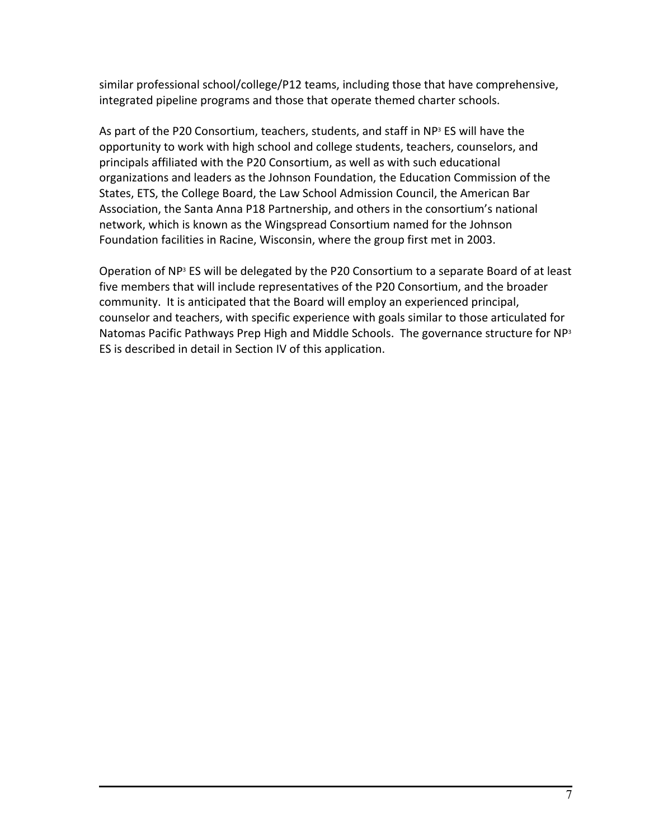similar professional school/college/P12 teams, including those that have comprehensive, integrated pipeline programs and those that operate themed charter schools.

As part of the P20 Consortium, teachers, students, and staff in NP<sup>3</sup> ES will have the opportunity to work with high school and college students, teachers, counselors, and principals affiliated with the P20 Consortium, as well as with such educational organizations and leaders as the Johnson Foundation, the Education Commission of the States, ETS, the College Board, the Law School Admission Council, the American Bar Association, the Santa Anna P18 Partnership, and others in the consortium's national network, which is known as the Wingspread Consortium named for the Johnson Foundation facilities in Racine, Wisconsin, where the group first met in 2003.

Operation of NP<sup>3</sup> ES will be delegated by the P20 Consortium to a separate Board of at least five members that will include representatives of the P20 Consortium, and the broader community. It is anticipated that the Board will employ an experienced principal, counselor and teachers, with specific experience with goals similar to those articulated for Natomas Pacific Pathways Prep High and Middle Schools. The governance structure for NP<sup>3</sup> ES is described in detail in Section IV of this application.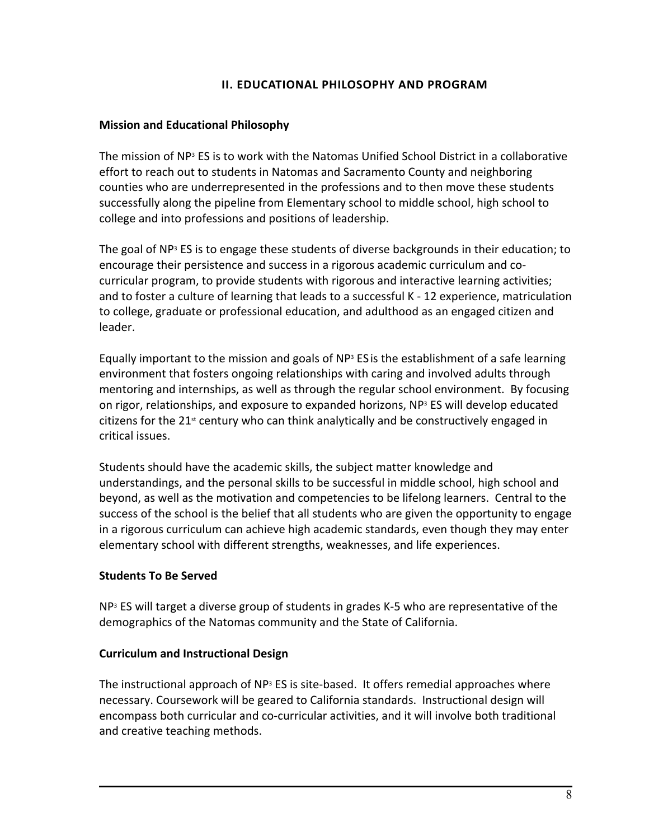### **II. EDUCATIONAL PHILOSOPHY AND PROGRAM**

#### **Mission and Educational Philosophy**

The mission of NP<sup>3</sup> ES is to work with the Natomas Unified School District in a collaborative effort to reach out to students in Natomas and Sacramento County and neighboring counties who are underrepresented in the professions and to then move these students successfully along the pipeline from Elementary school to middle school, high school to college and into professions and positions of leadership.

The goal of NP<sup>3</sup> ES is to engage these students of diverse backgrounds in their education; to encourage their persistence and success in a rigorous academic curriculum and cocurricular program, to provide students with rigorous and interactive learning activities; and to foster a culture of learning that leads to a successful K - 12 experience, matriculation to college, graduate or professional education, and adulthood as an engaged citizen and leader.

Equally important to the mission and goals of NP<sup>3</sup> ES is the establishment of a safe learning environment that fosters ongoing relationships with caring and involved adults through mentoring and internships, as well as through the regular school environment. By focusing on rigor, relationships, and exposure to expanded horizons, NP<sup>3</sup> ES will develop educated citizens for the  $21<sup>st</sup>$  century who can think analytically and be constructively engaged in critical issues.

Students should have the academic skills, the subject matter knowledge and understandings, and the personal skills to be successful in middle school, high school and beyond, as well as the motivation and competencies to be lifelong learners. Central to the success of the school is the belief that all students who are given the opportunity to engage in a rigorous curriculum can achieve high academic standards, even though they may enter elementary school with different strengths, weaknesses, and life experiences.

#### **Students To Be Served**

NP<sup>3</sup> ES will target a diverse group of students in grades K-5 who are representative of the demographics of the Natomas community and the State of California.

#### **Curriculum and Instructional Design**

The instructional approach of NP<sup>3</sup> ES is site-based. It offers remedial approaches where necessary. Coursework will be geared to California standards. Instructional design will encompass both curricular and co-curricular activities, and it will involve both traditional and creative teaching methods.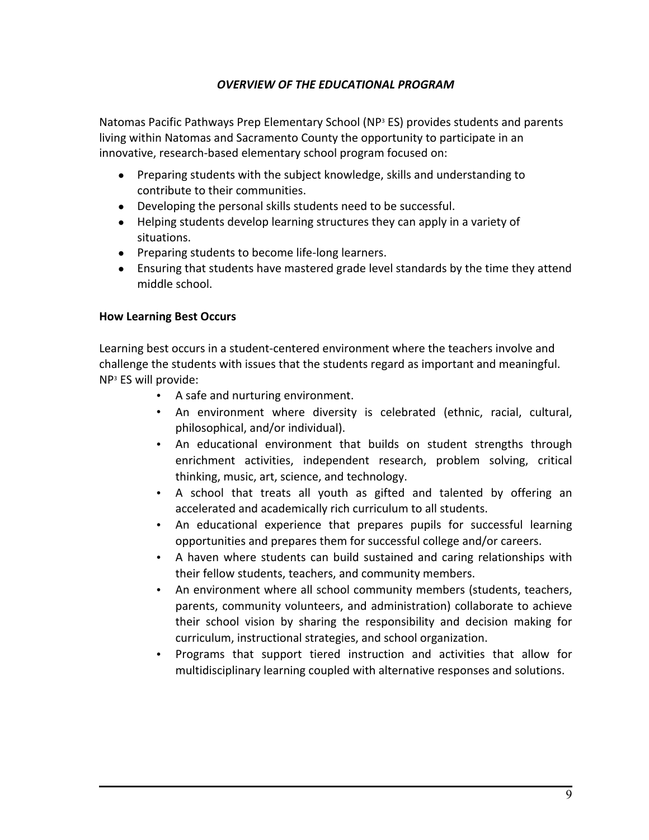### *OVERVIEW OF THE EDUCATIONAL PROGRAM*

Natomas Pacific Pathways Prep Elementary School (NP<sup>3</sup> ES) provides students and parents living within Natomas and Sacramento County the opportunity to participate in an innovative, research-based elementary school program focused on:

- Preparing students with the subject knowledge, skills and understanding to contribute to their communities.
- Developing the personal skills students need to be successful.
- Helping students develop learning structures they can apply in a variety of situations.
- Preparing students to become life-long learners.
- Ensuring that students have mastered grade level standards by the time they attend middle school.

#### **How Learning Best Occurs**

Learning best occurs in a student-centered environment where the teachers involve and challenge the students with issues that the students regard as important and meaningful. NP<sup>3</sup> ES will provide:

- A safe and nurturing environment.
- An environment where diversity is celebrated (ethnic, racial, cultural, philosophical, and/or individual).
- An educational environment that builds on student strengths through enrichment activities, independent research, problem solving, critical thinking, music, art, science, and technology.
- A school that treats all youth as gifted and talented by offering an accelerated and academically rich curriculum to all students.
- An educational experience that prepares pupils for successful learning opportunities and prepares them for successful college and/or careers.
- A haven where students can build sustained and caring relationships with their fellow students, teachers, and community members.
- An environment where all school community members (students, teachers, parents, community volunteers, and administration) collaborate to achieve their school vision by sharing the responsibility and decision making for curriculum, instructional strategies, and school organization.
- Programs that support tiered instruction and activities that allow for multidisciplinary learning coupled with alternative responses and solutions.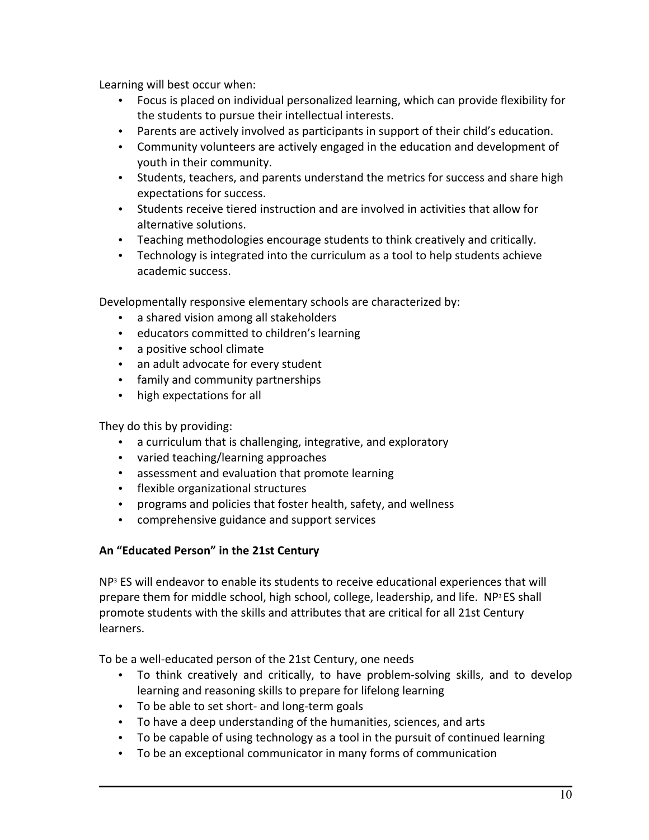Learning will best occur when:

- Focus is placed on individual personalized learning, which can provide flexibility for the students to pursue their intellectual interests.
- Parents are actively involved as participants in support of their child's education.
- Community volunteers are actively engaged in the education and development of youth in their community.
- Students, teachers, and parents understand the metrics for success and share high expectations for success.
- Students receive tiered instruction and are involved in activities that allow for alternative solutions.
- Teaching methodologies encourage students to think creatively and critically.
- Technology is integrated into the curriculum as a tool to help students achieve academic success.

Developmentally responsive elementary schools are characterized by:

- a shared vision among all stakeholders
- educators committed to children's learning
- a positive school climate
- an adult advocate for every student
- family and community partnerships
- high expectations for all

They do this by providing:

- a curriculum that is challenging, integrative, and exploratory
- varied teaching/learning approaches
- assessment and evaluation that promote learning
- flexible organizational structures
- programs and policies that foster health, safety, and wellness
- comprehensive guidance and support services

### **An "Educated Person" in the 21st Century**

NP<sup>3</sup> ES will endeavor to enable its students to receive educational experiences that will prepare them for middle school, high school, college, leadership, and life. NP<sup>3</sup> ES shall promote students with the skills and attributes that are critical for all 21st Century learners.

To be a well-educated person of the 21st Century, one needs

- To think creatively and critically, to have problem-solving skills, and to develop learning and reasoning skills to prepare for lifelong learning
- To be able to set short- and long-term goals
- To have a deep understanding of the humanities, sciences, and arts
- To be capable of using technology as a tool in the pursuit of continued learning
- To be an exceptional communicator in many forms of communication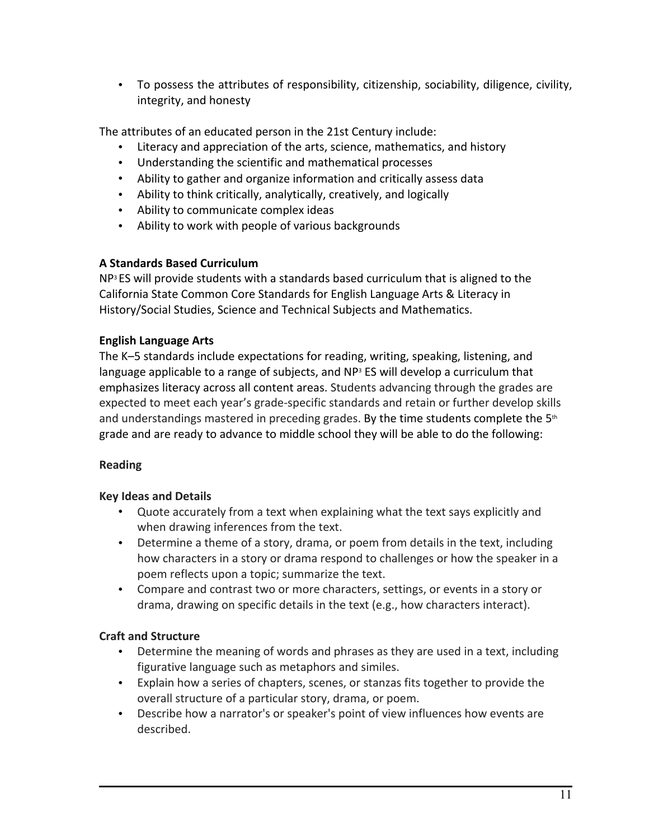• To possess the attributes of responsibility, citizenship, sociability, diligence, civility, integrity, and honesty

The attributes of an educated person in the 21st Century include:

- Literacy and appreciation of the arts, science, mathematics, and history
- Understanding the scientific and mathematical processes
- Ability to gather and organize information and critically assess data
- Ability to think critically, analytically, creatively, and logically
- Ability to communicate complex ideas
- Ability to work with people of various backgrounds

### **A Standards Based Curriculum**

 $NP<sup>3</sup>$  ES will provide students with a standards based curriculum that is aligned to the California State Common Core Standards for English Language Arts & Literacy in History/Social Studies, Science and Technical Subjects and Mathematics.

### **English Language Arts**

The K–5 standards include expectations for reading, writing, speaking, listening, and language applicable to a range of subjects, and NP<sup>3</sup> ES will develop a curriculum that emphasizes literacy across all content areas. Students advancing through the grades are expected to meet each year's grade-specific standards and retain or further develop skills and understandings mastered in preceding grades. By the time students complete the  $5<sup>th</sup>$ grade and are ready to advance to middle school they will be able to do the following:

### **Reading**

### **Key Ideas and Details**

- Quote accurately from a text when explaining what the text says explicitly and when drawing inferences from the text.
- Determine a theme of a story, drama, or poem from details in the text, including how characters in a story or drama respond to challenges or how the speaker in a poem reflects upon a topic; summarize the text.
- Compare and contrast two or more characters, settings, or events in a story or drama, drawing on specific details in the text (e.g., how characters interact).

## **Craft and Structure**

- Determine the meaning of words and phrases as they are used in a text, including figurative language such as metaphors and similes.
- Explain how a series of chapters, scenes, or stanzas fits together to provide the overall structure of a particular story, drama, or poem.
- Describe how a narrator's or speaker's point of view influences how events are described.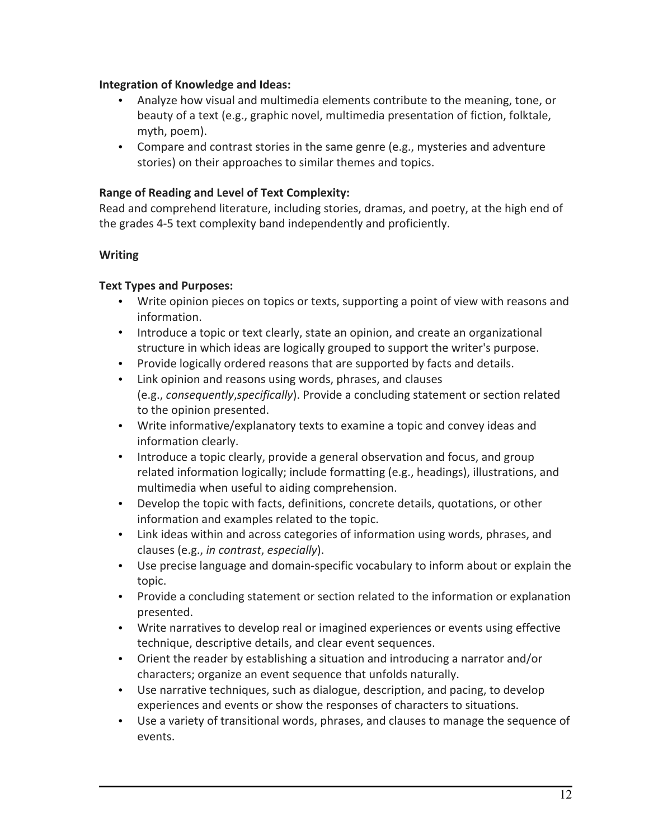#### **Integration of Knowledge and Ideas:**

- Analyze how visual and multimedia elements contribute to the meaning, tone, or beauty of a text (e.g., graphic novel, multimedia presentation of fiction, folktale, myth, poem).
- Compare and contrast stories in the same genre (e.g., mysteries and adventure stories) on their approaches to similar themes and topics.

### **Range of Reading and Level of Text Complexity:**

Read and comprehend literature, including stories, dramas, and poetry, at the high end of the grades 4-5 text complexity band independently and proficiently.

### **Writing**

### **Text Types and Purposes:**

- Write opinion pieces on topics or texts, supporting a point of view with reasons and information.
- Introduce a topic or text clearly, state an opinion, and create an organizational structure in which ideas are logically grouped to support the writer's purpose.
- Provide logically ordered reasons that are supported by facts and details.
- Link opinion and reasons using words, phrases, and clauses (e.g., *consequently*,*specifically*). Provide a concluding statement or section related to the opinion presented.
- Write informative/explanatory texts to examine a topic and convey ideas and information clearly.
- Introduce a topic clearly, provide a general observation and focus, and group related information logically; include formatting (e.g., headings), illustrations, and multimedia when useful to aiding comprehension.
- Develop the topic with facts, definitions, concrete details, quotations, or other information and examples related to the topic.
- Link ideas within and across categories of information using words, phrases, and clauses (e.g., *in contrast*, *especially*).
- Use precise language and domain-specific vocabulary to inform about or explain the topic.
- Provide a concluding statement or section related to the information or explanation presented.
- Write narratives to develop real or imagined experiences or events using effective technique, descriptive details, and clear event sequences.
- Orient the reader by establishing a situation and introducing a narrator and/or characters; organize an event sequence that unfolds naturally.
- Use narrative techniques, such as dialogue, description, and pacing, to develop experiences and events or show the responses of characters to situations.
- Use a variety of transitional words, phrases, and clauses to manage the sequence of events.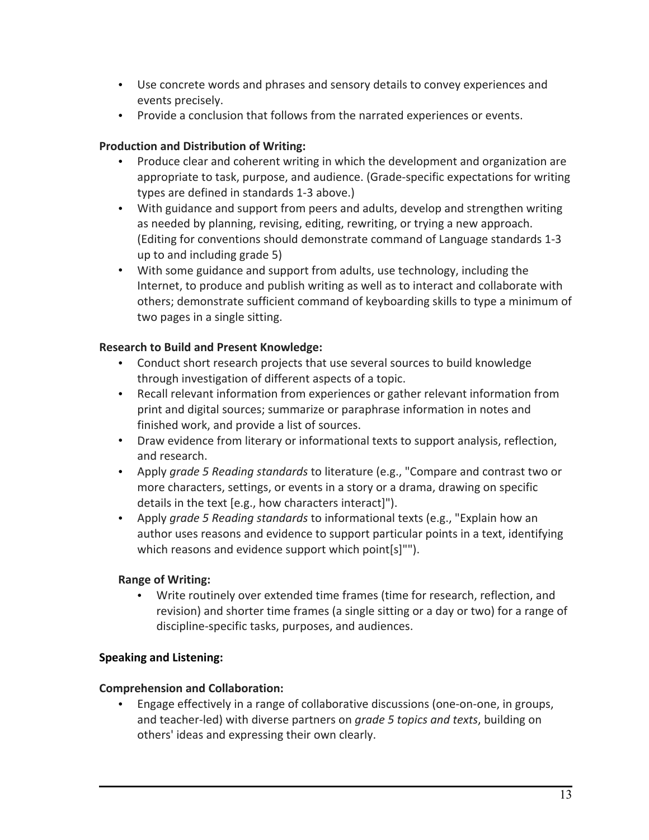- Use concrete words and phrases and sensory details to convey experiences and events precisely.
- Provide a conclusion that follows from the narrated experiences or events.

### **Production and Distribution of Writing:**

- Produce clear and coherent writing in which the development and organization are appropriate to task, purpose, and audience. (Grade-specific expectations for writing types are defined in standards 1-3 above.)
- With guidance and support from peers and adults, develop and strengthen writing as needed by planning, revising, editing, rewriting, or trying a new approach. (Editing for conventions should demonstrate command of Language standards 1-3 up to and including grade 5)
- With some guidance and support from adults, use technology, including the Internet, to produce and publish writing as well as to interact and collaborate with others; demonstrate sufficient command of keyboarding skills to type a minimum of two pages in a single sitting.

### **Research to Build and Present Knowledge:**

- Conduct short research projects that use several sources to build knowledge through investigation of different aspects of a topic.
- Recall relevant information from experiences or gather relevant information from print and digital sources; summarize or paraphrase information in notes and finished work, and provide a list of sources.
- Draw evidence from literary or informational texts to support analysis, reflection, and research.
- Apply *grade 5 Reading standards* to literature (e.g., "Compare and contrast two or more characters, settings, or events in a story or a drama, drawing on specific details in the text [e.g., how characters interact]").
- Apply *grade 5 Reading standards* to informational texts (e.g., "Explain how an author uses reasons and evidence to support particular points in a text, identifying which reasons and evidence support which point[s]"").

### **Range of Writing:**

• Write routinely over extended time frames (time for research, reflection, and revision) and shorter time frames (a single sitting or a day or two) for a range of discipline-specific tasks, purposes, and audiences.

## **Speaking and Listening:**

### **Comprehension and Collaboration:**

• Engage effectively in a range of collaborative discussions (one-on-one, in groups, and teacher-led) with diverse partners on *grade 5 topics and texts*, building on others' ideas and expressing their own clearly.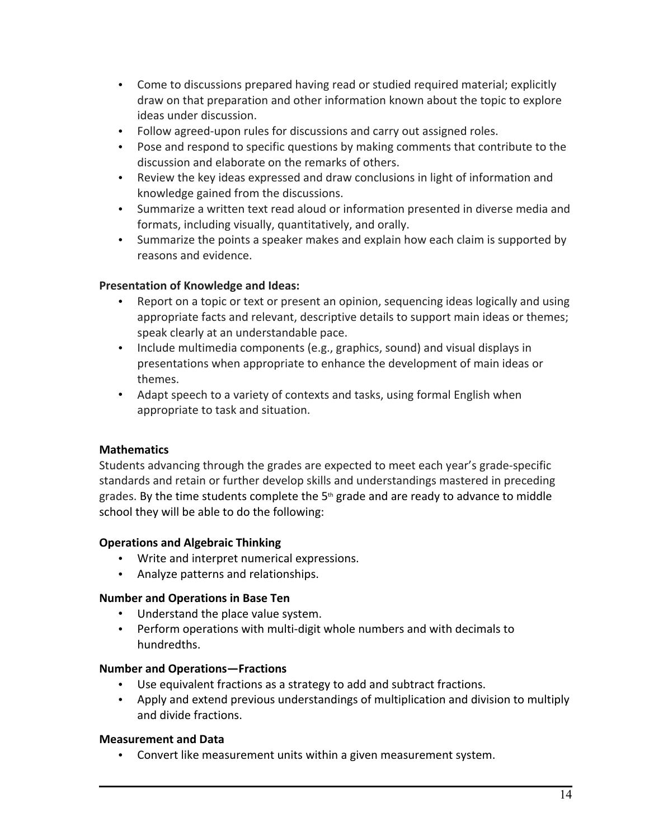- Come to discussions prepared having read or studied required material; explicitly draw on that preparation and other information known about the topic to explore ideas under discussion.
- Follow agreed-upon rules for discussions and carry out assigned roles.
- Pose and respond to specific questions by making comments that contribute to the discussion and elaborate on the remarks of others.
- Review the key ideas expressed and draw conclusions in light of information and knowledge gained from the discussions.
- Summarize a written text read aloud or information presented in diverse media and formats, including visually, quantitatively, and orally.
- Summarize the points a speaker makes and explain how each claim is supported by reasons and evidence.

### **Presentation of Knowledge and Ideas:**

- Report on a topic or text or present an opinion, sequencing ideas logically and using appropriate facts and relevant, descriptive details to support main ideas or themes; speak clearly at an understandable pace.
- Include multimedia components (e.g., graphics, sound) and visual displays in presentations when appropriate to enhance the development of main ideas or themes.
- Adapt speech to a variety of contexts and tasks, using formal English when appropriate to task and situation.

### **Mathematics**

Students advancing through the grades are expected to meet each year's grade-specific standards and retain or further develop skills and understandings mastered in preceding grades. By the time students complete the  $5<sup>th</sup>$  grade and are ready to advance to middle school they will be able to do the following:

### **Operations and Algebraic Thinking**

- Write and interpret numerical expressions.
- Analyze patterns and relationships.

### **Number and Operations in Base Ten**

- Understand the place value system.
- Perform operations with multi-digit whole numbers and with decimals to hundredths.

### **Number and Operations—Fractions**

- Use equivalent fractions as a strategy to add and subtract fractions.
- Apply and extend previous understandings of multiplication and division to multiply and divide fractions.

### **Measurement and Data**

• Convert like measurement units within a given measurement system.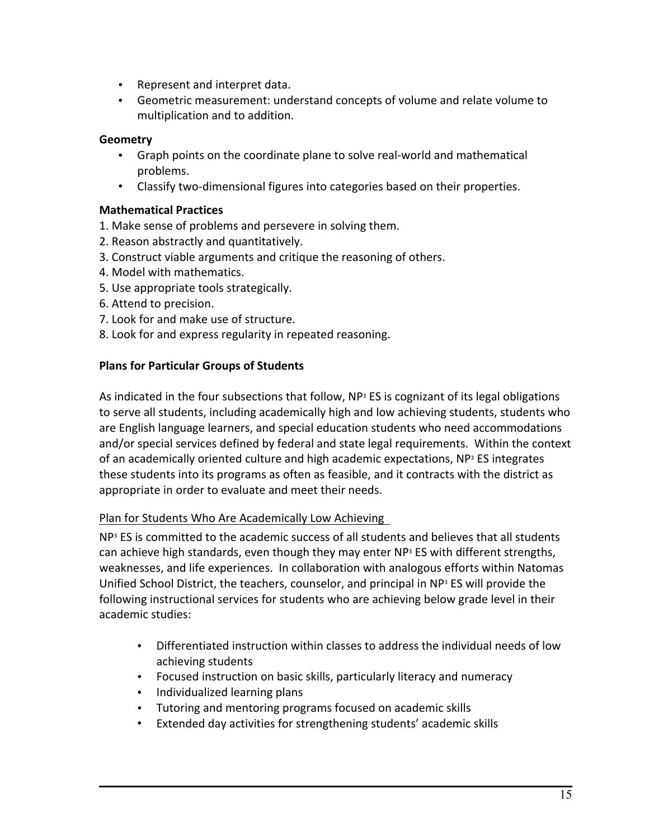- Represent and interpret data.
- Geometric measurement: understand concepts of volume and relate volume to multiplication and to addition.

### **Geometry**

- Graph points on the coordinate plane to solve real-world and mathematical problems.
- Classify two-dimensional figures into categories based on their properties.

## **Mathematical Practices**

- 1. Make sense of problems and persevere in solving them.
- 2. Reason abstractly and quantitatively.
- 3. Construct viable arguments and critique the reasoning of others.
- 4. Model with mathematics.
- 5. Use appropriate tools strategically.
- 6. Attend to precision.
- 7. Look for and make use of structure.
- 8. Look for and express regularity in repeated reasoning.

### **Plans for Particular Groups of Students**

As indicated in the four subsections that follow, NP<sup>3</sup> ES is cognizant of its legal obligations to serve all students, including academically high and low achieving students, students who are English language learners, and special education students who need accommodations and/or special services defined by federal and state legal requirements. Within the context of an academically oriented culture and high academic expectations, NP<sup>3</sup> ES integrates these students into its programs as often as feasible, and it contracts with the district as appropriate in order to evaluate and meet their needs.

## Plan for Students Who Are Academically Low Achieving

NP<sup>3</sup> ES is committed to the academic success of all students and believes that all students can achieve high standards, even though they may enter NP<sup>3</sup> ES with different strengths, weaknesses, and life experiences. In collaboration with analogous efforts within Natomas Unified School District, the teachers, counselor, and principal in NP<sup>3</sup> ES will provide the following instructional services for students who are achieving below grade level in their academic studies:

- Differentiated instruction within classes to address the individual needs of low achieving students
- Focused instruction on basic skills, particularly literacy and numeracy
- Individualized learning plans
- Tutoring and mentoring programs focused on academic skills
- Extended day activities for strengthening students' academic skills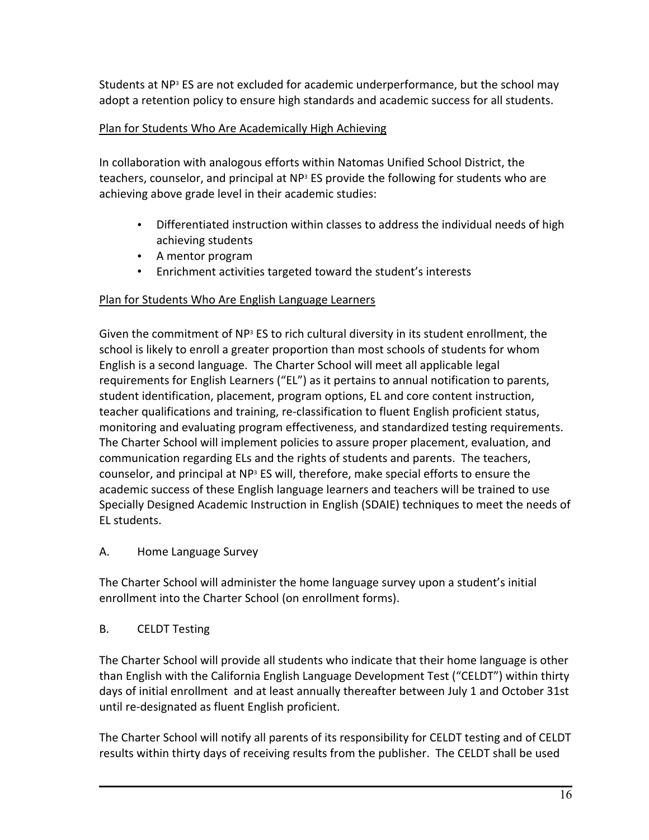Students at NP<sup>3</sup> ES are not excluded for academic underperformance, but the school may adopt a retention policy to ensure high standards and academic success for all students.

### Plan for Students Who Are Academically High Achieving

In collaboration with analogous efforts within Natomas Unified School District, the teachers, counselor, and principal at NP<sup>3</sup> ES provide the following for students who are achieving above grade level in their academic studies:

- Differentiated instruction within classes to address the individual needs of high achieving students
- A mentor program
- Enrichment activities targeted toward the student's interests

## Plan for Students Who Are English Language Learners

Given the commitment of NP<sup>3</sup> ES to rich cultural diversity in its student enrollment, the school is likely to enroll a greater proportion than most schools of students for whom English is a second language. The Charter School will meet all applicable legal requirements for English Learners ("EL") as it pertains to annual notification to parents, student identification, placement, program options, EL and core content instruction, teacher qualifications and training, re-classification to fluent English proficient status, monitoring and evaluating program effectiveness, and standardized testing requirements. The Charter School will implement policies to assure proper placement, evaluation, and communication regarding ELs and the rights of students and parents. The teachers, counselor, and principal at NP<sup>3</sup> ES will, therefore, make special efforts to ensure the academic success of these English language learners and teachers will be trained to use Specially Designed Academic Instruction in English (SDAIE) techniques to meet the needs of EL students.

## A. Home Language Survey

The Charter School will administer the home language survey upon a student's initial enrollment into the Charter School (on enrollment forms).

## B. CELDT Testing

The Charter School will provide all students who indicate that their home language is other than English with the California English Language Development Test ("CELDT") within thirty days of initial enrollment and at least annually thereafter between July 1 and October 31st until re-designated as fluent English proficient.

The Charter School will notify all parents of its responsibility for CELDT testing and of CELDT results within thirty days of receiving results from the publisher. The CELDT shall be used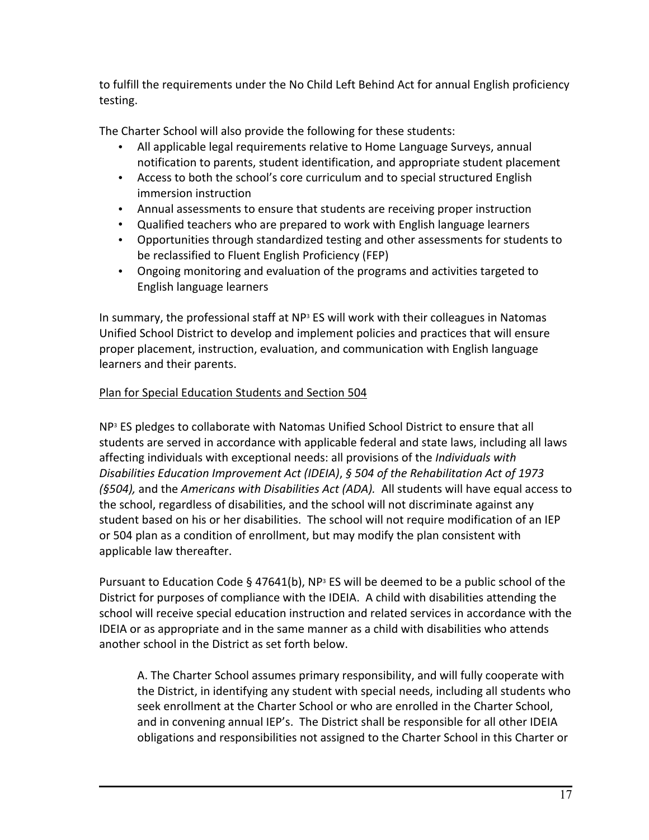to fulfill the requirements under the No Child Left Behind Act for annual English proficiency testing.

The Charter School will also provide the following for these students:

- All applicable legal requirements relative to Home Language Surveys, annual notification to parents, student identification, and appropriate student placement
- Access to both the school's core curriculum and to special structured English immersion instruction
- Annual assessments to ensure that students are receiving proper instruction
- Qualified teachers who are prepared to work with English language learners
- Opportunities through standardized testing and other assessments for students to be reclassified to Fluent English Proficiency (FEP)
- Ongoing monitoring and evaluation of the programs and activities targeted to English language learners

In summary, the professional staff at NP<sup>3</sup> ES will work with their colleagues in Natomas Unified School District to develop and implement policies and practices that will ensure proper placement, instruction, evaluation, and communication with English language learners and their parents.

### Plan for Special Education Students and Section 504

NP<sup>3</sup> ES pledges to collaborate with Natomas Unified School District to ensure that all students are served in accordance with applicable federal and state laws, including all laws affecting individuals with exceptional needs: all provisions of the *Individuals with Disabilities Education Improvement Act (IDEIA)*, *§ 504 of the Rehabilitation Act of 1973 (§504),* and the *Americans with Disabilities Act (ADA).* All students will have equal access to the school, regardless of disabilities, and the school will not discriminate against any student based on his or her disabilities. The school will not require modification of an IEP or 504 plan as a condition of enrollment, but may modify the plan consistent with applicable law thereafter.

Pursuant to Education Code § 47641(b), NP<sup>3</sup> ES will be deemed to be a public school of the District for purposes of compliance with the IDEIA. A child with disabilities attending the school will receive special education instruction and related services in accordance with the IDEIA or as appropriate and in the same manner as a child with disabilities who attends another school in the District as set forth below.

A. The Charter School assumes primary responsibility, and will fully cooperate with the District, in identifying any student with special needs, including all students who seek enrollment at the Charter School or who are enrolled in the Charter School, and in convening annual IEP's. The District shall be responsible for all other IDEIA obligations and responsibilities not assigned to the Charter School in this Charter or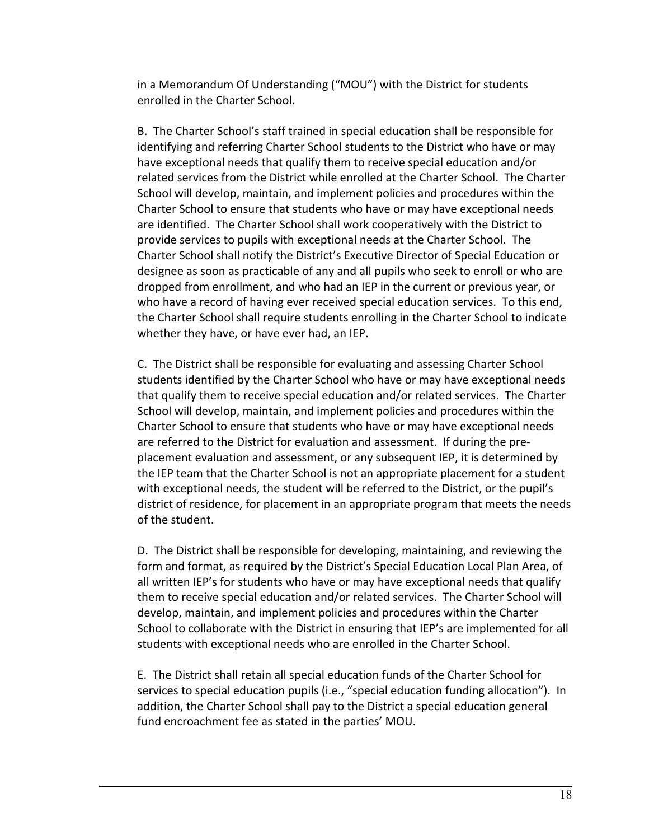in a Memorandum Of Understanding ("MOU") with the District for students enrolled in the Charter School.

B. The Charter School's staff trained in special education shall be responsible for identifying and referring Charter School students to the District who have or may have exceptional needs that qualify them to receive special education and/or related services from the District while enrolled at the Charter School. The Charter School will develop, maintain, and implement policies and procedures within the Charter School to ensure that students who have or may have exceptional needs are identified. The Charter School shall work cooperatively with the District to provide services to pupils with exceptional needs at the Charter School. The Charter School shall notify the District's Executive Director of Special Education or designee as soon as practicable of any and all pupils who seek to enroll or who are dropped from enrollment, and who had an IEP in the current or previous year, or who have a record of having ever received special education services. To this end, the Charter School shall require students enrolling in the Charter School to indicate whether they have, or have ever had, an IEP.

C. The District shall be responsible for evaluating and assessing Charter School students identified by the Charter School who have or may have exceptional needs that qualify them to receive special education and/or related services. The Charter School will develop, maintain, and implement policies and procedures within the Charter School to ensure that students who have or may have exceptional needs are referred to the District for evaluation and assessment. If during the preplacement evaluation and assessment, or any subsequent IEP, it is determined by the IEP team that the Charter School is not an appropriate placement for a student with exceptional needs, the student will be referred to the District, or the pupil's district of residence, for placement in an appropriate program that meets the needs of the student.

D. The District shall be responsible for developing, maintaining, and reviewing the form and format, as required by the District's Special Education Local Plan Area, of all written IEP's for students who have or may have exceptional needs that qualify them to receive special education and/or related services. The Charter School will develop, maintain, and implement policies and procedures within the Charter School to collaborate with the District in ensuring that IEP's are implemented for all students with exceptional needs who are enrolled in the Charter School.

E. The District shall retain all special education funds of the Charter School for services to special education pupils (i.e., "special education funding allocation"). In addition, the Charter School shall pay to the District a special education general fund encroachment fee as stated in the parties' MOU.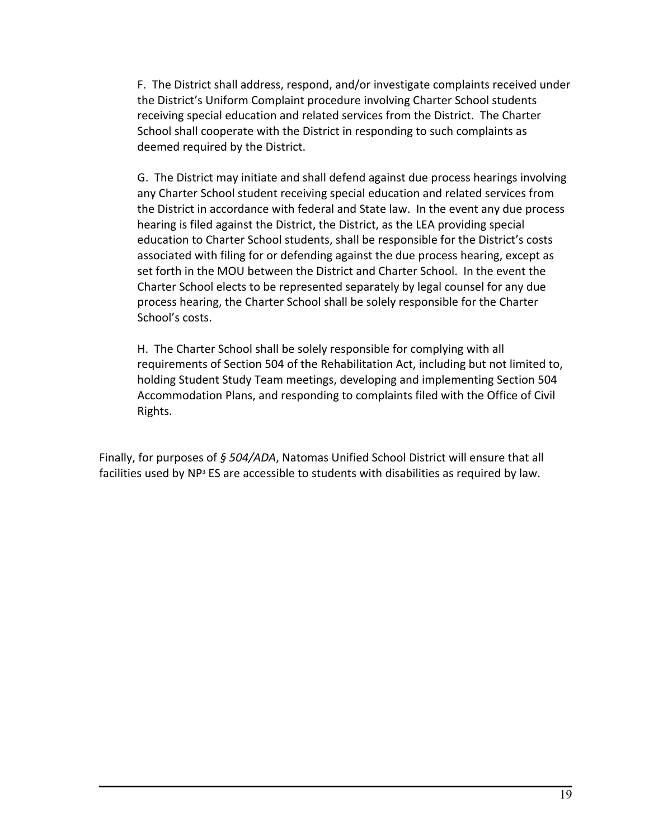F. The District shall address, respond, and/or investigate complaints received under the District's Uniform Complaint procedure involving Charter School students receiving special education and related services from the District. The Charter School shall cooperate with the District in responding to such complaints as deemed required by the District.

G. The District may initiate and shall defend against due process hearings involving any Charter School student receiving special education and related services from the District in accordance with federal and State law. In the event any due process hearing is filed against the District, the District, as the LEA providing special education to Charter School students, shall be responsible for the District's costs associated with filing for or defending against the due process hearing, except as set forth in the MOU between the District and Charter School. In the event the Charter School elects to be represented separately by legal counsel for any due process hearing, the Charter School shall be solely responsible for the Charter School's costs.

H. The Charter School shall be solely responsible for complying with all requirements of Section 504 of the Rehabilitation Act, including but not limited to, holding Student Study Team meetings, developing and implementing Section 504 Accommodation Plans, and responding to complaints filed with the Office of Civil Rights.

Finally, for purposes of *§ 504/ADA*, Natomas Unified School District will ensure that all facilities used by NP<sup>3</sup> ES are accessible to students with disabilities as required by law.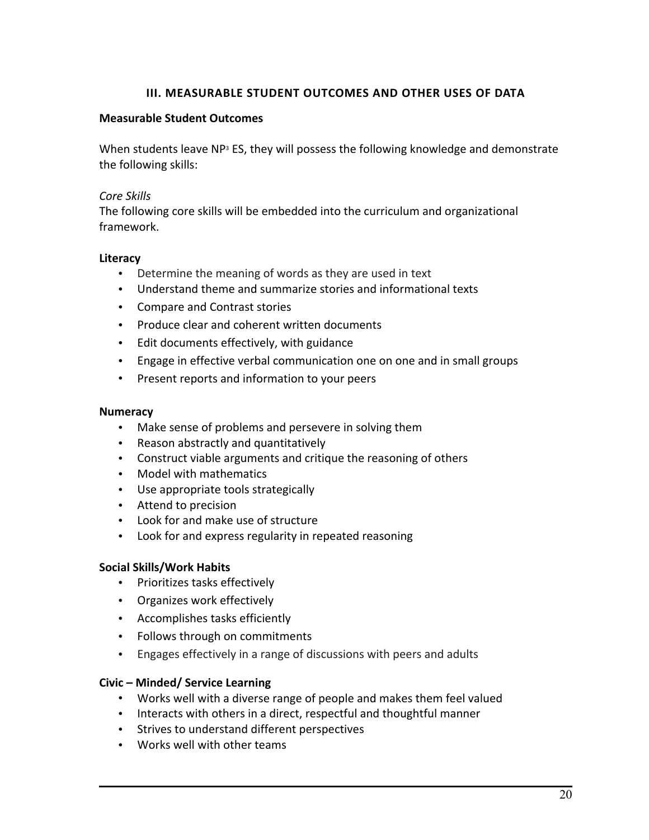#### **III. MEASURABLE STUDENT OUTCOMES AND OTHER USES OF DATA**

#### **Measurable Student Outcomes**

When students leave NP<sup>3</sup> ES, they will possess the following knowledge and demonstrate the following skills:

#### *Core Skills*

The following core skills will be embedded into the curriculum and organizational framework.

#### **Literacy**

- Determine the meaning of words as they are used in text
- Understand theme and summarize stories and informational texts
- Compare and Contrast stories
- Produce clear and coherent written documents
- Edit documents effectively, with guidance
- Engage in effective verbal communication one on one and in small groups
- Present reports and information to your peers

#### **Numeracy**

- Make sense of problems and persevere in solving them
- Reason abstractly and quantitatively
- Construct viable arguments and critique the reasoning of others
- Model with mathematics
- Use appropriate tools strategically
- Attend to precision
- Look for and make use of structure
- Look for and express regularity in repeated reasoning

#### **Social Skills/Work Habits**

- Prioritizes tasks effectively
- Organizes work effectively
- Accomplishes tasks efficiently
- Follows through on commitments
- Engages effectively in a range of discussions with peers and adults

#### **Civic – Minded/ Service Learning**

- Works well with a diverse range of people and makes them feel valued
- Interacts with others in a direct, respectful and thoughtful manner
- Strives to understand different perspectives
- Works well with other teams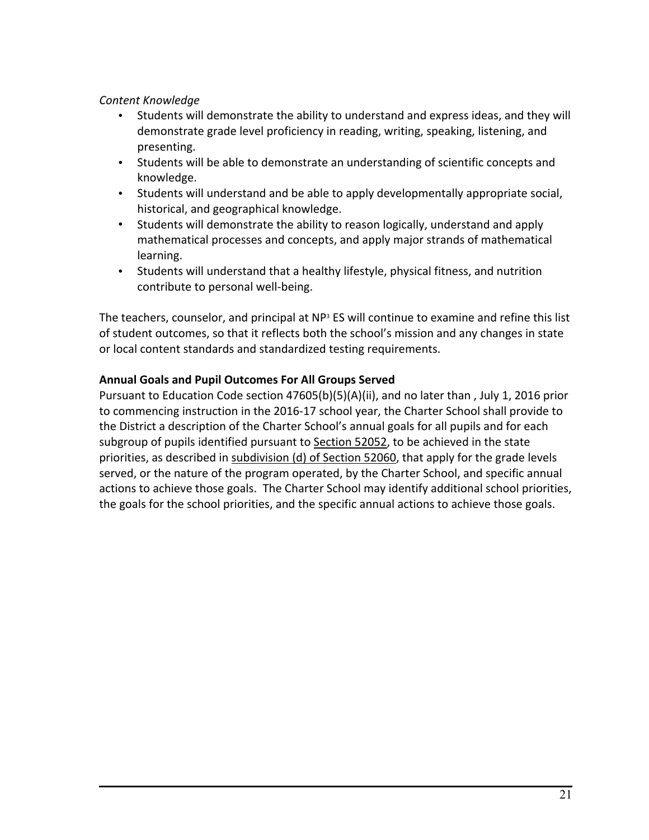#### *Content Knowledge*

- Students will demonstrate the ability to understand and express ideas, and they will demonstrate grade level proficiency in reading, writing, speaking, listening, and presenting.
- Students will be able to demonstrate an understanding of scientific concepts and knowledge.
- Students will understand and be able to apply developmentally appropriate social, historical, and geographical knowledge.
- Students will demonstrate the ability to reason logically, understand and apply mathematical processes and concepts, and apply major strands of mathematical learning.
- Students will understand that a healthy lifestyle, physical fitness, and nutrition contribute to personal well-being.

The teachers, counselor, and principal at NP<sup>3</sup> ES will continue to examine and refine this list of student outcomes, so that it reflects both the school's mission and any changes in state or local content standards and standardized testing requirements.

### **Annual Goals and Pupil Outcomes For All Groups Served**

Pursuant to Education Code section 47605(b)(5)(A)(ii), and no later than , July 1, 2016 prior to commencing instruction in the 2016-17 school year, the Charter School shall provide to the District a description of the Charter School's annual goals for all pupils and for each subgroup of pupils identified pursuant to Section 52052, to be achieved in the state priorities, as described in subdivision (d) of Section 52060, that apply for the grade levels served, or the nature of the program operated, by the Charter School, and specific annual actions to achieve those goals. The Charter School may identify additional school priorities, the goals for the school priorities, and the specific annual actions to achieve those goals.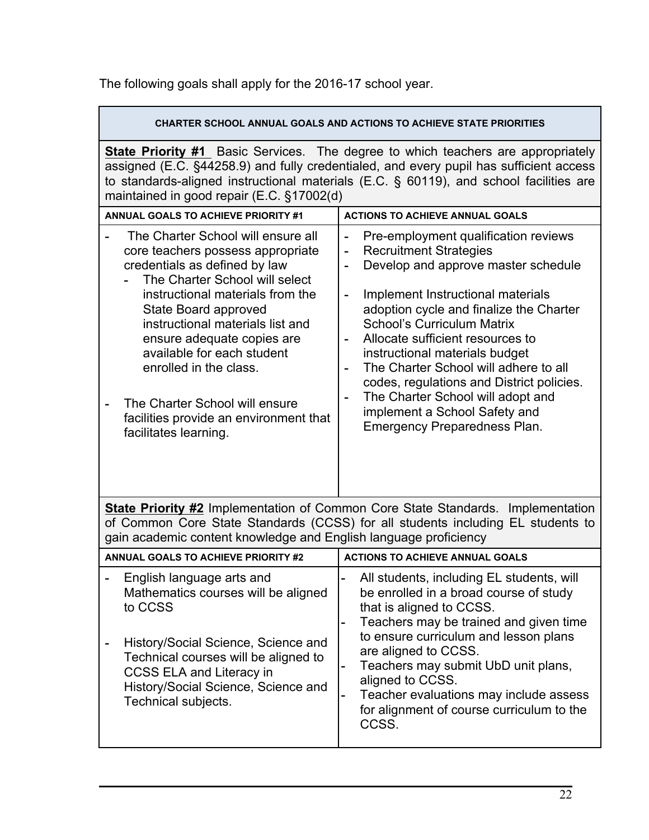The following goals shall apply for the 2016-17 school year.

|                                                                                                                                                                                                                                                                                                                                                                                                                                       | <b>CHARTER SCHOOL ANNUAL GOALS AND ACTIONS TO ACHIEVE STATE PRIORITIES</b>                                                                                                                                                                                                                                                                                                                                                                                                                                                                                                              |  |  |  |  |  |
|---------------------------------------------------------------------------------------------------------------------------------------------------------------------------------------------------------------------------------------------------------------------------------------------------------------------------------------------------------------------------------------------------------------------------------------|-----------------------------------------------------------------------------------------------------------------------------------------------------------------------------------------------------------------------------------------------------------------------------------------------------------------------------------------------------------------------------------------------------------------------------------------------------------------------------------------------------------------------------------------------------------------------------------------|--|--|--|--|--|
| maintained in good repair (E.C. §17002(d)                                                                                                                                                                                                                                                                                                                                                                                             | <b>State Priority #1</b> Basic Services. The degree to which teachers are appropriately<br>assigned (E.C. §44258.9) and fully credentialed, and every pupil has sufficient access<br>to standards-aligned instructional materials (E.C. § 60119), and school facilities are                                                                                                                                                                                                                                                                                                             |  |  |  |  |  |
| <b>ANNUAL GOALS TO ACHIEVE PRIORITY #1</b>                                                                                                                                                                                                                                                                                                                                                                                            | <b>ACTIONS TO ACHIEVE ANNUAL GOALS</b>                                                                                                                                                                                                                                                                                                                                                                                                                                                                                                                                                  |  |  |  |  |  |
| The Charter School will ensure all<br>core teachers possess appropriate<br>credentials as defined by law<br>The Charter School will select<br>instructional materials from the<br>State Board approved<br>instructional materials list and<br>ensure adequate copies are<br>available for each student<br>enrolled in the class.<br>The Charter School will ensure<br>facilities provide an environment that<br>facilitates learning. | Pre-employment qualification reviews<br>$\overline{\phantom{0}}$<br><b>Recruitment Strategies</b><br>$\overline{\phantom{a}}$<br>Develop and approve master schedule<br>Implement Instructional materials<br>$\overline{\phantom{a}}$<br>adoption cycle and finalize the Charter<br><b>School's Curriculum Matrix</b><br>Allocate sufficient resources to<br>instructional materials budget<br>The Charter School will adhere to all<br>codes, regulations and District policies.<br>The Charter School will adopt and<br>implement a School Safety and<br>Emergency Preparedness Plan. |  |  |  |  |  |
| gain academic content knowledge and English language proficiency                                                                                                                                                                                                                                                                                                                                                                      | <b>State Priority #2</b> Implementation of Common Core State Standards. Implementation<br>of Common Core State Standards (CCSS) for all students including EL students to                                                                                                                                                                                                                                                                                                                                                                                                               |  |  |  |  |  |
| <b>ANNUAL GOALS TO ACHIEVE PRIORITY #2</b>                                                                                                                                                                                                                                                                                                                                                                                            | <b>ACTIONS TO ACHIEVE ANNUAL GOALS</b>                                                                                                                                                                                                                                                                                                                                                                                                                                                                                                                                                  |  |  |  |  |  |
| English language arts and<br>Mathematics courses will be aligned<br>to CCSS<br>History/Social Science, Science and<br>Technical courses will be aligned to<br>CCSS ELA and Literacy in<br>History/Social Science, Science and<br>Technical subjects.                                                                                                                                                                                  | All students, including EL students, will<br>be enrolled in a broad course of study<br>that is aligned to CCSS.<br>Teachers may be trained and given time<br>to ensure curriculum and lesson plans<br>are aligned to CCSS.<br>Teachers may submit UbD unit plans,<br>aligned to CCSS.<br>Teacher evaluations may include assess<br>for alignment of course curriculum to the<br>CCSS.                                                                                                                                                                                                   |  |  |  |  |  |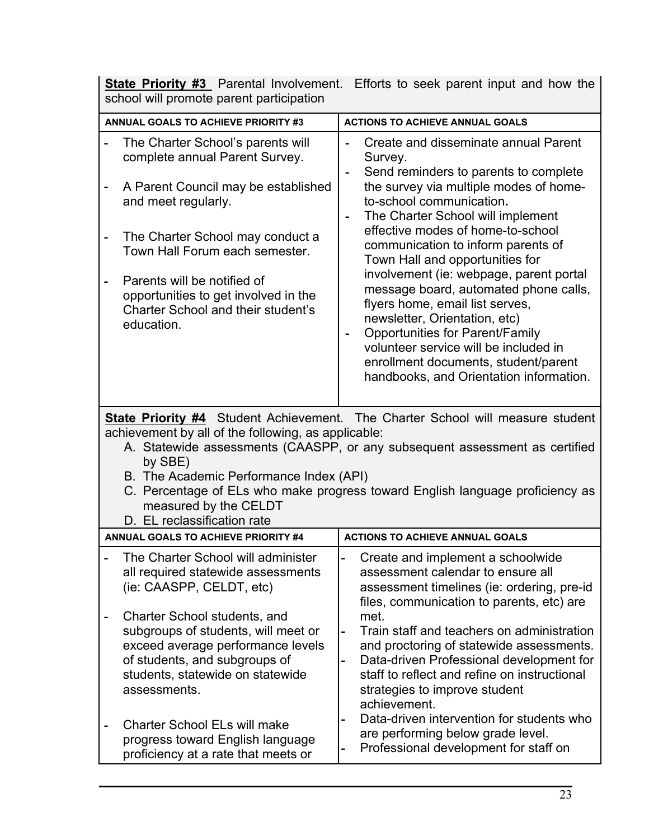**State Priority #3** Parental Involvement. Efforts to seek parent input and how the school will promote parent participation **ANNUAL GOALS TO ACHIEVE PRIORITY #3 ACTIONS TO ACHIEVE ANNUAL GOALS -** The Charter School's parents will complete annual Parent Survey. **-** A Parent Council may be established and meet regularly. **-** The Charter School may conduct a **-** Create and disseminate annual Parent Survey. **-** Send reminders to parents to complete the survey via multiple modes of hometo-school communication**. -** The Charter School will implement effective modes of home-to-school

Town Hall Forum each semester. **-** Parents will be notified of opportunities to get involved in the Charter School and their student's education. communication to inform parents of Town Hall and opportunities for involvement (ie: webpage, parent portal message board, automated phone calls, flyers home, email list serves, newsletter, Orientation, etc) **-** Opportunities for Parent/Family volunteer service will be included in enrollment documents, student/parent handbooks, and Orientation information.

**State Priority #4** Student Achievement. The Charter School will measure student achievement by all of the following, as applicable:

- A. Statewide assessments (CAASPP, or any subsequent assessment as certified by SBE)
- B. The Academic Performance Index (API)
- C. Percentage of ELs who make progress toward English language proficiency as measured by the CELDT
- D. EL reclassification rate

| <b>ANNUAL GOALS TO ACHIEVE PRIORITY #4</b>                                                                                                                                                           |                                                          | <b>ACTIONS TO ACHIEVE ANNUAL GOALS</b>                                                                                                                                                                                                      |
|------------------------------------------------------------------------------------------------------------------------------------------------------------------------------------------------------|----------------------------------------------------------|---------------------------------------------------------------------------------------------------------------------------------------------------------------------------------------------------------------------------------------------|
| The Charter School will administer<br>all required statewide assessments<br>(ie: CAASPP, CELDT, etc)                                                                                                 |                                                          | Create and implement a schoolwide<br>assessment calendar to ensure all<br>assessment timelines (ie: ordering, pre-id<br>files, communication to parents, etc) are                                                                           |
| <b>Charter School students, and</b><br>subgroups of students, will meet or<br>exceed average performance levels<br>of students, and subgroups of<br>students, statewide on statewide<br>assessments. | $\overline{\phantom{0}}$<br>$\qquad \qquad \blacksquare$ | met.<br>Train staff and teachers on administration<br>and proctoring of statewide assessments.<br>Data-driven Professional development for<br>staff to reflect and refine on instructional<br>strategies to improve student<br>achievement. |
| <b>Charter School ELs will make</b><br>progress toward English language<br>proficiency at a rate that meets or                                                                                       |                                                          | Data-driven intervention for students who<br>are performing below grade level.<br>Professional development for staff on                                                                                                                     |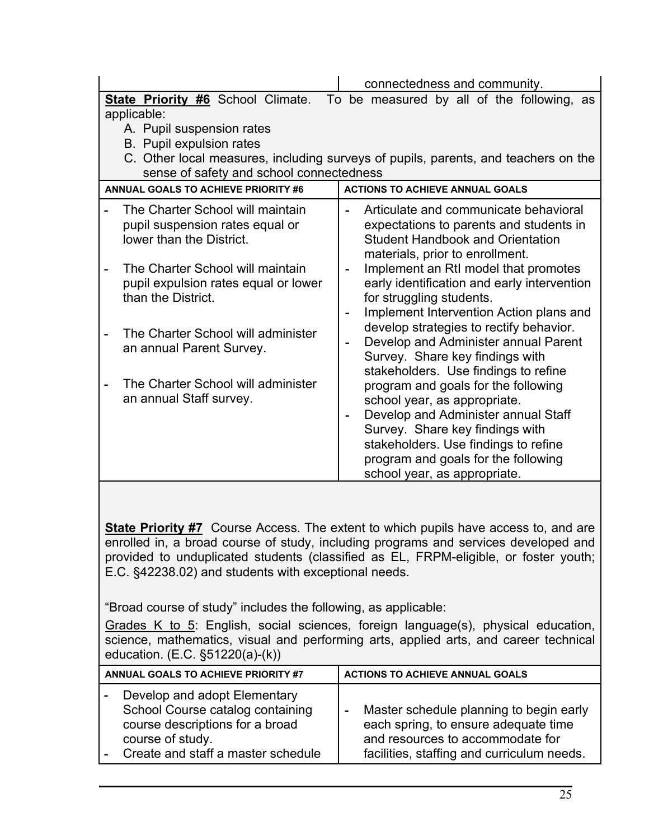|                                                                                                          | connectedness and community.                                                                                                                                                                                                                                                             |
|----------------------------------------------------------------------------------------------------------|------------------------------------------------------------------------------------------------------------------------------------------------------------------------------------------------------------------------------------------------------------------------------------------|
| State Priority #6 School Climate.<br>applicable:                                                         | To be measured by all of the following, as                                                                                                                                                                                                                                               |
| A. Pupil suspension rates<br><b>B.</b> Pupil expulsion rates<br>sense of safety and school connectedness | C. Other local measures, including surveys of pupils, parents, and teachers on the                                                                                                                                                                                                       |
| <b>ANNUAL GOALS TO ACHIEVE PRIORITY #6</b>                                                               | <b>ACTIONS TO ACHIEVE ANNUAL GOALS</b>                                                                                                                                                                                                                                                   |
| The Charter School will maintain<br>pupil suspension rates equal or<br>lower than the District.          | Articulate and communicate behavioral<br>expectations to parents and students in<br><b>Student Handbook and Orientation</b><br>materials, prior to enrollment.                                                                                                                           |
| The Charter School will maintain<br>pupil expulsion rates equal or lower<br>than the District.           | Implement an RtI model that promotes<br>$\overline{\phantom{a}}$<br>early identification and early intervention<br>for struggling students.<br>Implement Intervention Action plans and<br>$\overline{\phantom{a}}$                                                                       |
| The Charter School will administer<br>an annual Parent Survey.                                           | develop strategies to rectify behavior.<br>Develop and Administer annual Parent<br>Survey. Share key findings with<br>stakeholders. Use findings to refine                                                                                                                               |
| The Charter School will administer<br>an annual Staff survey.                                            | program and goals for the following<br>school year, as appropriate.<br>Develop and Administer annual Staff<br>$\overline{\phantom{a}}$<br>Survey. Share key findings with<br>stakeholders. Use findings to refine<br>program and goals for the following<br>school year, as appropriate. |
| E.C. §42238.02) and students with exceptional needs.                                                     | <b>State Priority #7</b> Course Access. The extent to which pupils have access to, and are<br>enrolled in, a broad course of study, including programs and services developed and<br>provided to unduplicated students (classified as EL, FRPM-eligible, or foster youth;                |
| "Broad course of study" includes the following, as applicable:                                           |                                                                                                                                                                                                                                                                                          |
|                                                                                                          | Grades K to 5: English, social sciences, foreign language(s), physical education,<br>science, mathematics, visual and performing arts, applied arts, and career technical                                                                                                                |

education. (E.C. §51220(a)-(k))

| <b>ANNUAL GOALS TO ACHIEVE PRIORITY #7</b>                                                                                                                    | <b>ACTIONS TO ACHIEVE ANNUAL GOALS</b>                                                                                                                            |
|---------------------------------------------------------------------------------------------------------------------------------------------------------------|-------------------------------------------------------------------------------------------------------------------------------------------------------------------|
| Develop and adopt Elementary<br>School Course catalog containing<br>course descriptions for a broad<br>course of study.<br>Create and staff a master schedule | Master schedule planning to begin early<br>each spring, to ensure adequate time<br>and resources to accommodate for<br>facilities, staffing and curriculum needs. |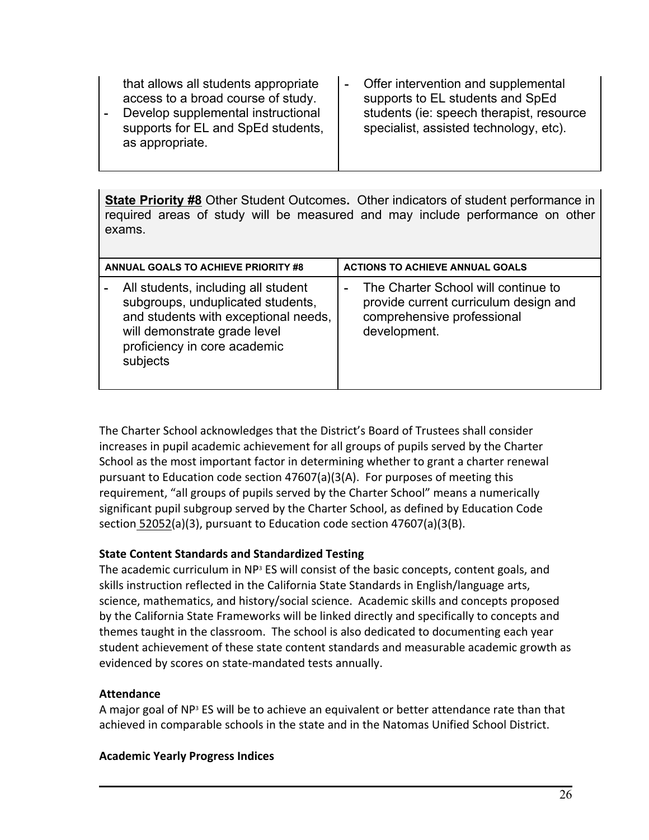| that allows all students appropriate<br>access to a broad course of study.<br>Develop supplemental instructional<br>$\sim$<br>supports for EL and SpEd students,<br>as appropriate. | Offer intervention and supplemental<br>supports to EL students and SpEd<br>students (ie: speech therapist, resource<br>specialist, assisted technology, etc). |  |
|-------------------------------------------------------------------------------------------------------------------------------------------------------------------------------------|---------------------------------------------------------------------------------------------------------------------------------------------------------------|--|
|-------------------------------------------------------------------------------------------------------------------------------------------------------------------------------------|---------------------------------------------------------------------------------------------------------------------------------------------------------------|--|

**State Priority #8** Other Student Outcomes**.** Other indicators of student performance in required areas of study will be measured and may include performance on other exams.

| <b>ANNUAL GOALS TO ACHIEVE PRIORITY #8</b>                                                                                                                                                   | <b>ACTIONS TO ACHIEVE ANNUAL GOALS</b>                                                                                     |
|----------------------------------------------------------------------------------------------------------------------------------------------------------------------------------------------|----------------------------------------------------------------------------------------------------------------------------|
| All students, including all student<br>subgroups, unduplicated students,<br>and students with exceptional needs,<br>will demonstrate grade level<br>proficiency in core academic<br>subjects | The Charter School will continue to<br>provide current curriculum design and<br>comprehensive professional<br>development. |

The Charter School acknowledges that the District's Board of Trustees shall consider increases in pupil academic achievement for all groups of pupils served by the Charter School as the most important factor in determining whether to grant a charter renewal pursuant to Education code section 47607(a)(3(A). For purposes of meeting this requirement, "all groups of pupils served by the Charter School" means a numerically significant pupil subgroup served by the Charter School, as defined by Education Code section 52052(a)(3), pursuant to Education code section 47607(a)(3(B).

## **State Content Standards and Standardized Testing**

The academic curriculum in NP<sup>3</sup> ES will consist of the basic concepts, content goals, and skills instruction reflected in the California State Standards in English/language arts, science, mathematics, and history/social science. Academic skills and concepts proposed by the California State Frameworks will be linked directly and specifically to concepts and themes taught in the classroom. The school is also dedicated to documenting each year student achievement of these state content standards and measurable academic growth as evidenced by scores on state-mandated tests annually.

### **Attendance**

A major goal of NP<sup>3</sup> ES will be to achieve an equivalent or better attendance rate than that achieved in comparable schools in the state and in the Natomas Unified School District.

### **Academic Yearly Progress Indices**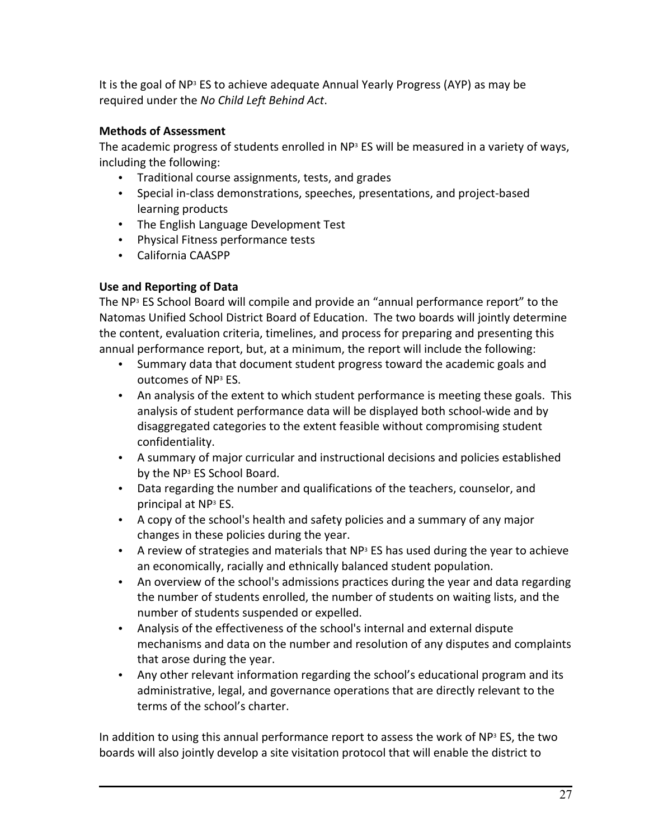It is the goal of NP<sup>3</sup> ES to achieve adequate Annual Yearly Progress (AYP) as may be required under the *No Child Left Behind Act*.

# **Methods of Assessment**

The academic progress of students enrolled in NP<sup>3</sup> ES will be measured in a variety of ways, including the following:

- Traditional course assignments, tests, and grades
- Special in-class demonstrations, speeches, presentations, and project-based learning products
- The English Language Development Test
- Physical Fitness performance tests
- California CAASPP

# **Use and Reporting of Data**

The NP<sup>3</sup> ES School Board will compile and provide an "annual performance report" to the Natomas Unified School District Board of Education. The two boards will jointly determine the content, evaluation criteria, timelines, and process for preparing and presenting this annual performance report, but, at a minimum, the report will include the following:

- Summary data that document student progress toward the academic goals and outcomes of NP<sup>3</sup> ES.
- An analysis of the extent to which student performance is meeting these goals. This analysis of student performance data will be displayed both school-wide and by disaggregated categories to the extent feasible without compromising student confidentiality.
- A summary of major curricular and instructional decisions and policies established by the NP<sup>3</sup> ES School Board.
- Data regarding the number and qualifications of the teachers, counselor, and principal at NP<sup>3</sup> ES.
- A copy of the school's health and safety policies and a summary of any major changes in these policies during the year.
- A review of strategies and materials that NP<sup>3</sup> ES has used during the year to achieve an economically, racially and ethnically balanced student population.
- An overview of the school's admissions practices during the year and data regarding the number of students enrolled, the number of students on waiting lists, and the number of students suspended or expelled.
- Analysis of the effectiveness of the school's internal and external dispute mechanisms and data on the number and resolution of any disputes and complaints that arose during the year.
- Any other relevant information regarding the school's educational program and its administrative, legal, and governance operations that are directly relevant to the terms of the school's charter.

In addition to using this annual performance report to assess the work of NP<sup>3</sup> ES, the two boards will also jointly develop a site visitation protocol that will enable the district to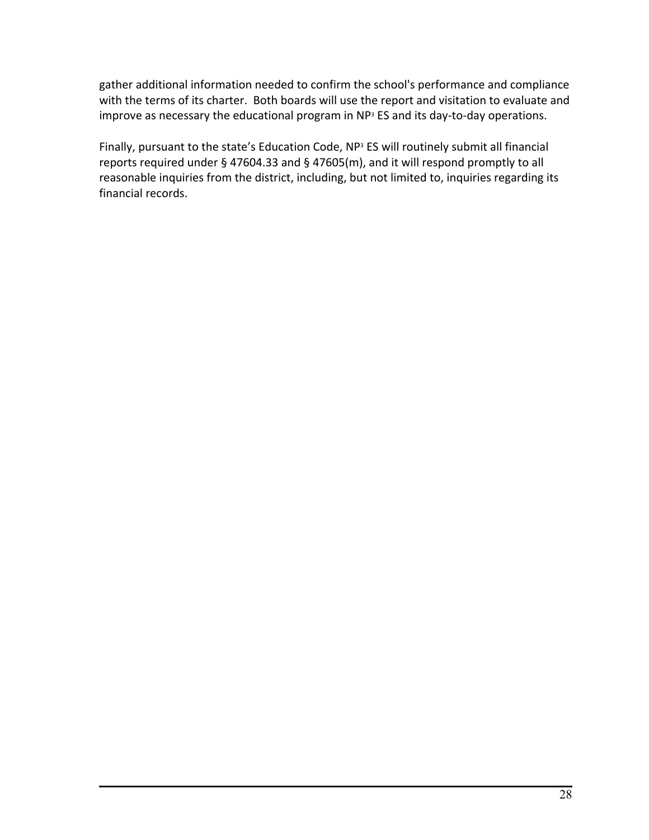gather additional information needed to confirm the school's performance and compliance with the terms of its charter. Both boards will use the report and visitation to evaluate and improve as necessary the educational program in NP<sup>3</sup> ES and its day-to-day operations.

Finally, pursuant to the state's Education Code, NP<sup>3</sup> ES will routinely submit all financial reports required under § 47604.33 and § 47605(m), and it will respond promptly to all reasonable inquiries from the district, including, but not limited to, inquiries regarding its financial records.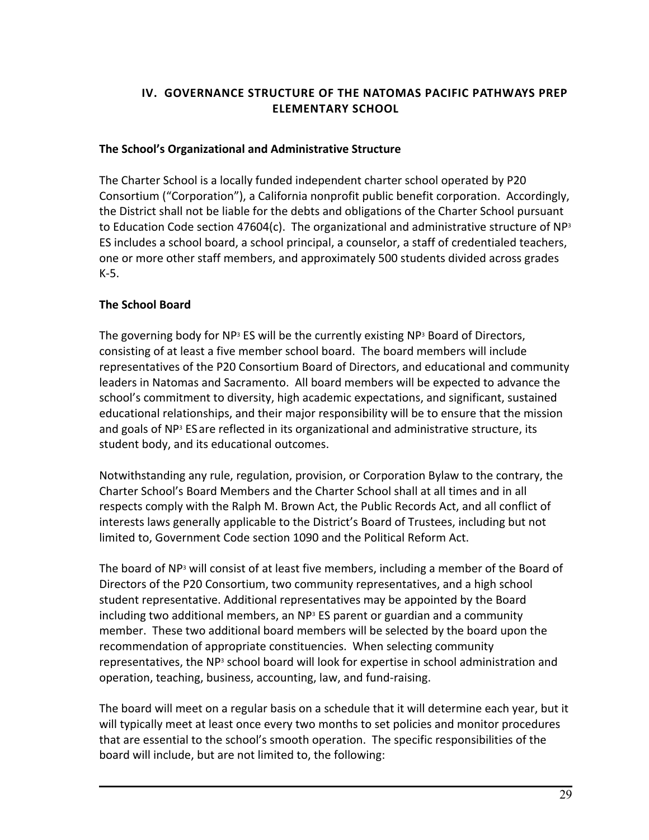# **IV. GOVERNANCE STRUCTURE OF THE NATOMAS PACIFIC PATHWAYS PREP ELEMENTARY SCHOOL**

### **The School's Organizational and Administrative Structure**

The Charter School is a locally funded independent charter school operated by P20 Consortium ("Corporation"), a California nonprofit public benefit corporation. Accordingly, the District shall not be liable for the debts and obligations of the Charter School pursuant to Education Code section 47604(c). The organizational and administrative structure of  $NP<sup>3</sup>$ ES includes a school board, a school principal, a counselor, a staff of credentialed teachers, one or more other staff members, and approximately 500 students divided across grades K-5.

## **The School Board**

The governing body for NP<sup>3</sup> ES will be the currently existing NP<sup>3</sup> Board of Directors, consisting of at least a five member school board. The board members will include representatives of the P20 Consortium Board of Directors, and educational and community leaders in Natomas and Sacramento. All board members will be expected to advance the school's commitment to diversity, high academic expectations, and significant, sustained educational relationships, and their major responsibility will be to ensure that the mission and goals of NP<sup>3</sup> ES are reflected in its organizational and administrative structure, its student body, and its educational outcomes.

Notwithstanding any rule, regulation, provision, or Corporation Bylaw to the contrary, the Charter School's Board Members and the Charter School shall at all times and in all respects comply with the Ralph M. Brown Act, the Public Records Act, and all conflict of interests laws generally applicable to the District's Board of Trustees, including but not limited to, Government Code section 1090 and the Political Reform Act.

The board of NP<sup>3</sup> will consist of at least five members, including a member of the Board of Directors of the P20 Consortium, two community representatives, and a high school student representative. Additional representatives may be appointed by the Board including two additional members, an NP<sup>3</sup> ES parent or guardian and a community member. These two additional board members will be selected by the board upon the recommendation of appropriate constituencies. When selecting community representatives, the NP<sup>3</sup> school board will look for expertise in school administration and operation, teaching, business, accounting, law, and fund-raising.

The board will meet on a regular basis on a schedule that it will determine each year, but it will typically meet at least once every two months to set policies and monitor procedures that are essential to the school's smooth operation. The specific responsibilities of the board will include, but are not limited to, the following: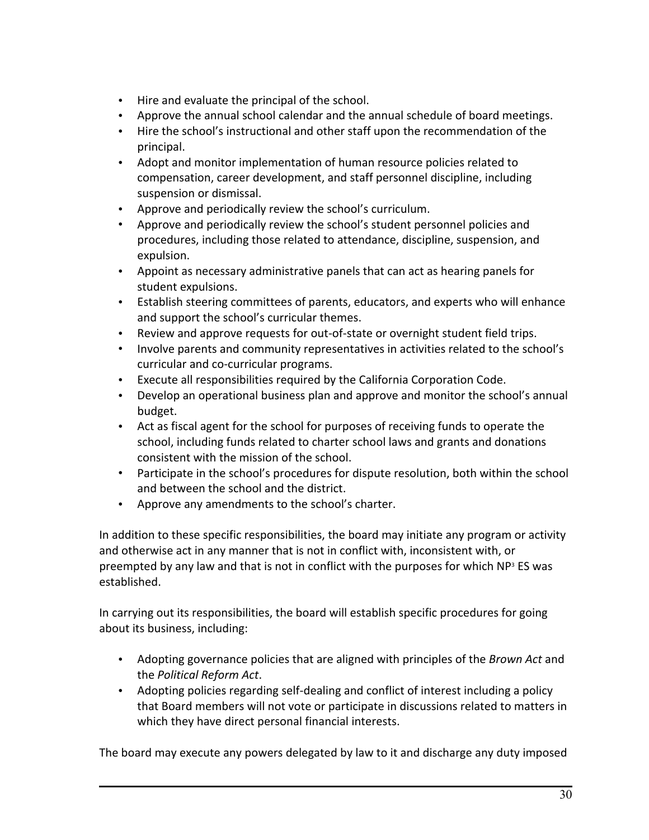- Hire and evaluate the principal of the school.
- Approve the annual school calendar and the annual schedule of board meetings.
- Hire the school's instructional and other staff upon the recommendation of the principal.
- Adopt and monitor implementation of human resource policies related to compensation, career development, and staff personnel discipline, including suspension or dismissal.
- Approve and periodically review the school's curriculum.
- Approve and periodically review the school's student personnel policies and procedures, including those related to attendance, discipline, suspension, and expulsion.
- Appoint as necessary administrative panels that can act as hearing panels for student expulsions.
- Establish steering committees of parents, educators, and experts who will enhance and support the school's curricular themes.
- Review and approve requests for out-of-state or overnight student field trips.
- Involve parents and community representatives in activities related to the school's curricular and co-curricular programs.
- Execute all responsibilities required by the California Corporation Code.
- Develop an operational business plan and approve and monitor the school's annual budget.
- Act as fiscal agent for the school for purposes of receiving funds to operate the school, including funds related to charter school laws and grants and donations consistent with the mission of the school.
- Participate in the school's procedures for dispute resolution, both within the school and between the school and the district.
- Approve any amendments to the school's charter.

In addition to these specific responsibilities, the board may initiate any program or activity and otherwise act in any manner that is not in conflict with, inconsistent with, or preempted by any law and that is not in conflict with the purposes for which NP<sup>3</sup> ES was established.

In carrying out its responsibilities, the board will establish specific procedures for going about its business, including:

- Adopting governance policies that are aligned with principles of the *Brown Act* and the *Political Reform Act*.
- Adopting policies regarding self-dealing and conflict of interest including a policy that Board members will not vote or participate in discussions related to matters in which they have direct personal financial interests.

The board may execute any powers delegated by law to it and discharge any duty imposed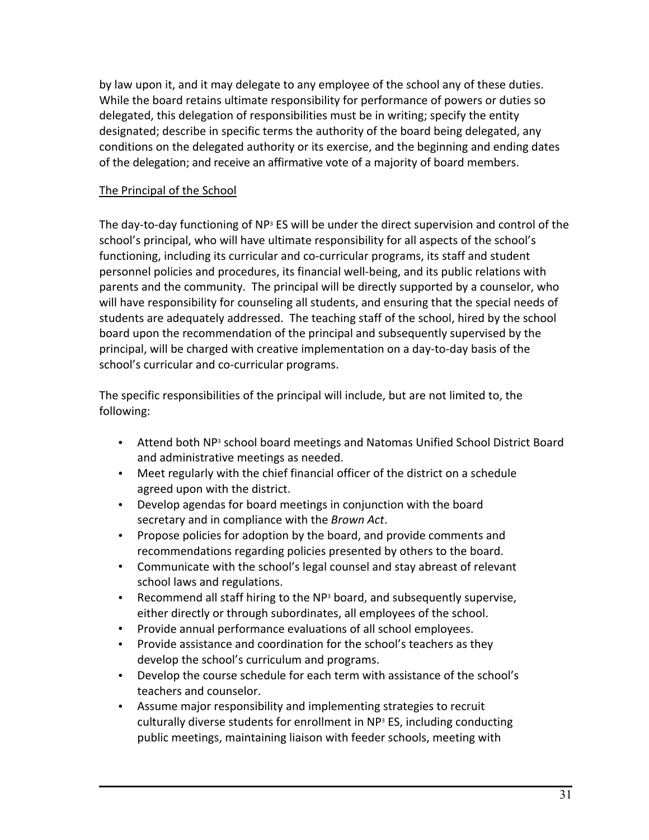by law upon it, and it may delegate to any employee of the school any of these duties. While the board retains ultimate responsibility for performance of powers or duties so delegated, this delegation of responsibilities must be in writing; specify the entity designated; describe in specific terms the authority of the board being delegated, any conditions on the delegated authority or its exercise, and the beginning and ending dates of the delegation; and receive an affirmative vote of a majority of board members.

### The Principal of the School

The day-to-day functioning of NP<sup>3</sup> ES will be under the direct supervision and control of the school's principal, who will have ultimate responsibility for all aspects of the school's functioning, including its curricular and co-curricular programs, its staff and student personnel policies and procedures, its financial well-being, and its public relations with parents and the community. The principal will be directly supported by a counselor, who will have responsibility for counseling all students, and ensuring that the special needs of students are adequately addressed. The teaching staff of the school, hired by the school board upon the recommendation of the principal and subsequently supervised by the principal, will be charged with creative implementation on a day-to-day basis of the school's curricular and co-curricular programs.

The specific responsibilities of the principal will include, but are not limited to, the following:

- Attend both NP<sup>3</sup> school board meetings and Natomas Unified School District Board and administrative meetings as needed.
- Meet regularly with the chief financial officer of the district on a schedule agreed upon with the district.
- Develop agendas for board meetings in conjunction with the board secretary and in compliance with the *Brown Act*.
- Propose policies for adoption by the board, and provide comments and recommendations regarding policies presented by others to the board.
- Communicate with the school's legal counsel and stay abreast of relevant school laws and regulations.
- Recommend all staff hiring to the NP<sup>3</sup> board, and subsequently supervise, either directly or through subordinates, all employees of the school.
- Provide annual performance evaluations of all school employees.
- Provide assistance and coordination for the school's teachers as they develop the school's curriculum and programs.
- Develop the course schedule for each term with assistance of the school's teachers and counselor.
- Assume major responsibility and implementing strategies to recruit culturally diverse students for enrollment in NP<sup>3</sup> ES, including conducting public meetings, maintaining liaison with feeder schools, meeting with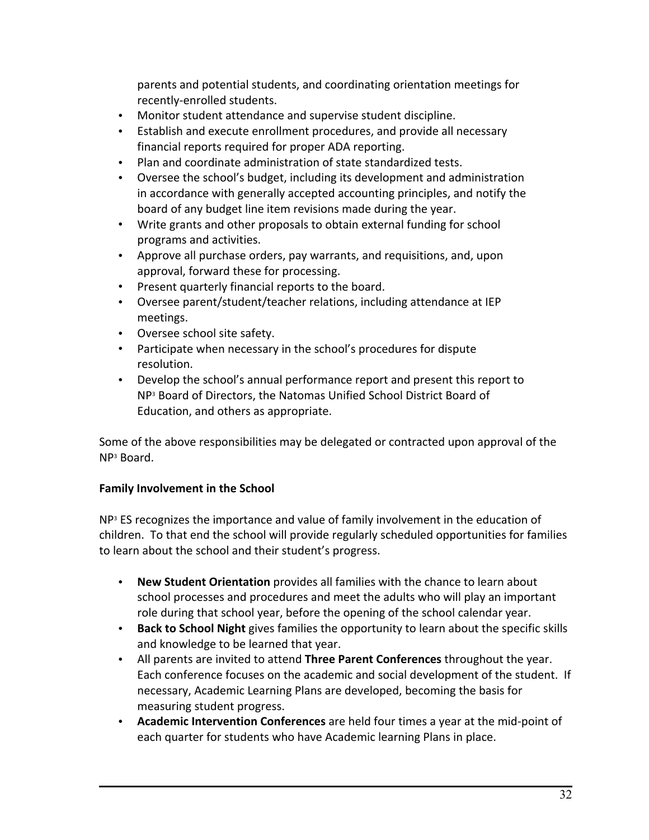parents and potential students, and coordinating orientation meetings for recently-enrolled students.

- Monitor student attendance and supervise student discipline.
- Establish and execute enrollment procedures, and provide all necessary financial reports required for proper ADA reporting.
- Plan and coordinate administration of state standardized tests.
- Oversee the school's budget, including its development and administration in accordance with generally accepted accounting principles, and notify the board of any budget line item revisions made during the year.
- Write grants and other proposals to obtain external funding for school programs and activities.
- Approve all purchase orders, pay warrants, and requisitions, and, upon approval, forward these for processing.
- Present quarterly financial reports to the board.
- Oversee parent/student/teacher relations, including attendance at IEP meetings.
- Oversee school site safety.
- Participate when necessary in the school's procedures for dispute resolution.
- Develop the school's annual performance report and present this report to NP<sup>3</sup> Board of Directors, the Natomas Unified School District Board of Education, and others as appropriate.

Some of the above responsibilities may be delegated or contracted upon approval of the NP<sup>3</sup> Board.

### **Family Involvement in the School**

NP<sup>3</sup> ES recognizes the importance and value of family involvement in the education of children. To that end the school will provide regularly scheduled opportunities for families to learn about the school and their student's progress.

- **New Student Orientation** provides all families with the chance to learn about school processes and procedures and meet the adults who will play an important role during that school year, before the opening of the school calendar year.
- **Back to School Night** gives families the opportunity to learn about the specific skills and knowledge to be learned that year.
- All parents are invited to attend **Three Parent Conferences** throughout the year. Each conference focuses on the academic and social development of the student. If necessary, Academic Learning Plans are developed, becoming the basis for measuring student progress.
- **Academic Intervention Conferences** are held four times a year at the mid-point of each quarter for students who have Academic learning Plans in place.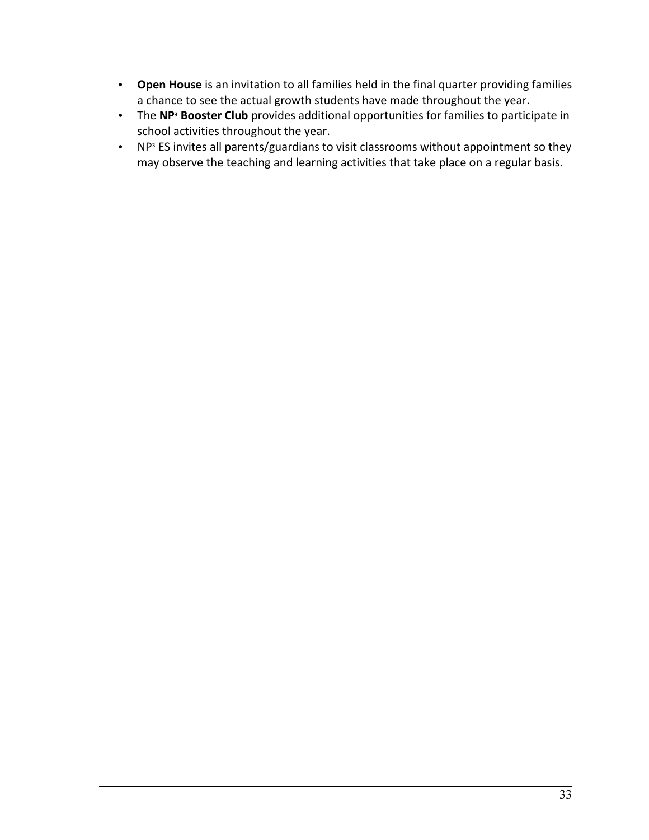- **Open House** is an invitation to all families held in the final quarter providing families a chance to see the actual growth students have made throughout the year.
- **•** The NP<sup>3</sup> Booster Club provides additional opportunities for families to participate in school activities throughout the year.
- NP<sup>3</sup> ES invites all parents/guardians to visit classrooms without appointment so they may observe the teaching and learning activities that take place on a regular basis.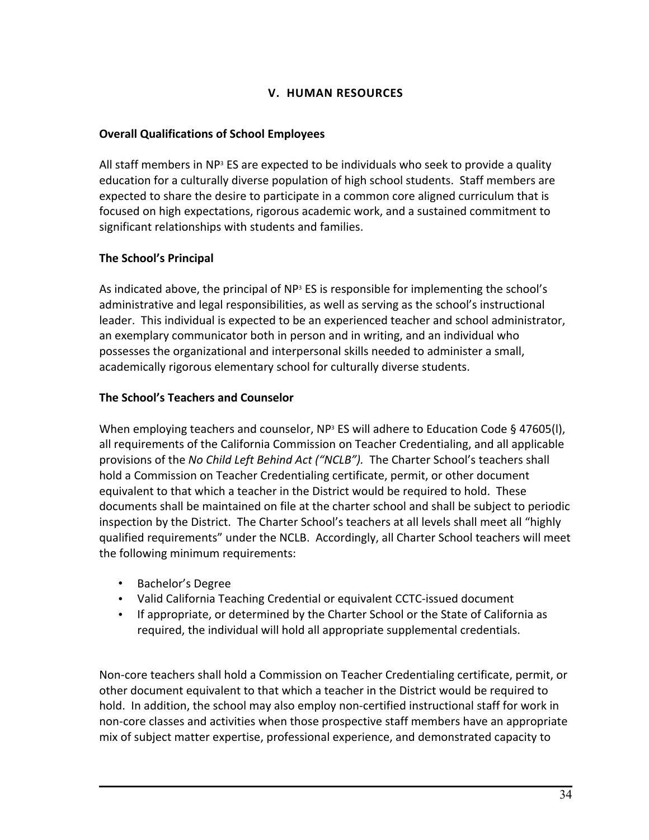### **V. HUMAN RESOURCES**

#### **Overall Qualifications of School Employees**

All staff members in NP<sup>3</sup> ES are expected to be individuals who seek to provide a quality education for a culturally diverse population of high school students. Staff members are expected to share the desire to participate in a common core aligned curriculum that is focused on high expectations, rigorous academic work, and a sustained commitment to significant relationships with students and families.

### **The School's Principal**

As indicated above, the principal of NP<sup>3</sup> ES is responsible for implementing the school's administrative and legal responsibilities, as well as serving as the school's instructional leader. This individual is expected to be an experienced teacher and school administrator, an exemplary communicator both in person and in writing, and an individual who possesses the organizational and interpersonal skills needed to administer a small, academically rigorous elementary school for culturally diverse students.

#### **The School's Teachers and Counselor**

When employing teachers and counselor, NP<sup>3</sup> ES will adhere to Education Code § 47605(I), all requirements of the California Commission on Teacher Credentialing, and all applicable provisions of the *No Child Left Behind Act ("NCLB").* The Charter School's teachers shall hold a Commission on Teacher Credentialing certificate, permit, or other document equivalent to that which a teacher in the District would be required to hold. These documents shall be maintained on file at the charter school and shall be subject to periodic inspection by the District. The Charter School's teachers at all levels shall meet all "highly qualified requirements" under the NCLB. Accordingly, all Charter School teachers will meet the following minimum requirements:

- Bachelor's Degree
- Valid California Teaching Credential or equivalent CCTC-issued document
- If appropriate, or determined by the Charter School or the State of California as required, the individual will hold all appropriate supplemental credentials.

Non-core teachers shall hold a Commission on Teacher Credentialing certificate, permit, or other document equivalent to that which a teacher in the District would be required to hold. In addition, the school may also employ non-certified instructional staff for work in non-core classes and activities when those prospective staff members have an appropriate mix of subject matter expertise, professional experience, and demonstrated capacity to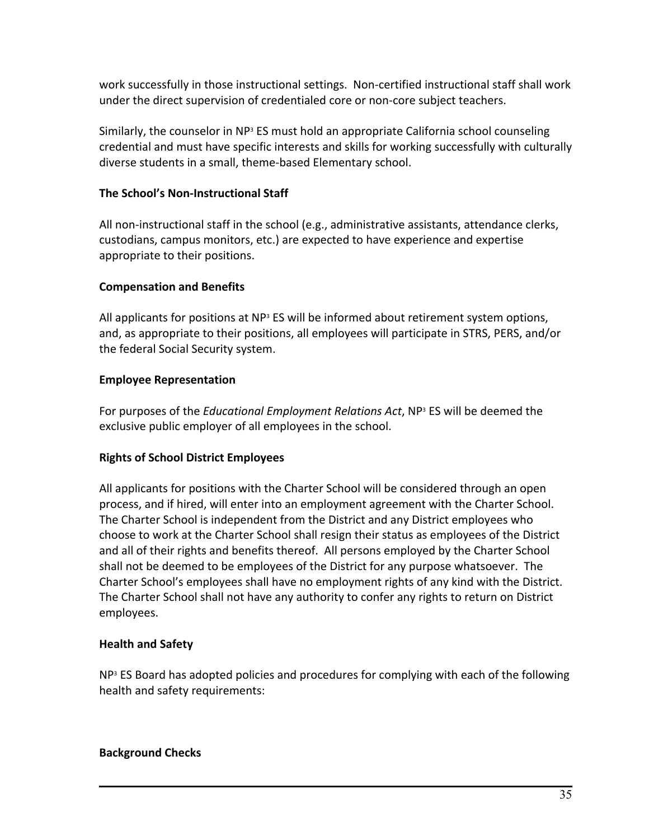work successfully in those instructional settings. Non-certified instructional staff shall work under the direct supervision of credentialed core or non-core subject teachers.

Similarly, the counselor in NP<sup>3</sup> ES must hold an appropriate California school counseling credential and must have specific interests and skills for working successfully with culturally diverse students in a small, theme-based Elementary school.

### **The School's Non-Instructional Staff**

All non-instructional staff in the school (e.g., administrative assistants, attendance clerks, custodians, campus monitors, etc.) are expected to have experience and expertise appropriate to their positions.

### **Compensation and Benefits**

All applicants for positions at NP<sup>3</sup> ES will be informed about retirement system options, and, as appropriate to their positions, all employees will participate in STRS, PERS, and/or the federal Social Security system.

### **Employee Representation**

For purposes of the *Educational Employment Relations Act*, NP<sup>3</sup> ES will be deemed the exclusive public employer of all employees in the school.

### **Rights of School District Employees**

All applicants for positions with the Charter School will be considered through an open process, and if hired, will enter into an employment agreement with the Charter School. The Charter School is independent from the District and any District employees who choose to work at the Charter School shall resign their status as employees of the District and all of their rights and benefits thereof. All persons employed by the Charter School shall not be deemed to be employees of the District for any purpose whatsoever. The Charter School's employees shall have no employment rights of any kind with the District. The Charter School shall not have any authority to confer any rights to return on District employees.

## **Health and Safety**

NP<sup>3</sup> ES Board has adopted policies and procedures for complying with each of the following health and safety requirements:

### **Background Checks**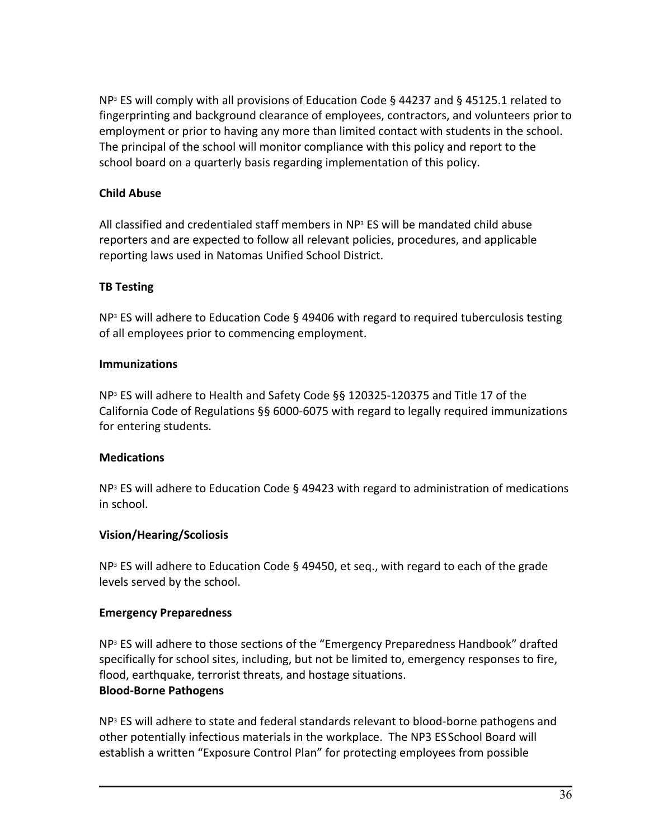NP<sup>3</sup> ES will comply with all provisions of Education Code § 44237 and § 45125.1 related to fingerprinting and background clearance of employees, contractors, and volunteers prior to employment or prior to having any more than limited contact with students in the school. The principal of the school will monitor compliance with this policy and report to the school board on a quarterly basis regarding implementation of this policy.

### **Child Abuse**

All classified and credentialed staff members in NP<sup>3</sup> ES will be mandated child abuse reporters and are expected to follow all relevant policies, procedures, and applicable reporting laws used in Natomas Unified School District.

### **TB Testing**

NP<sup>3</sup> ES will adhere to Education Code § 49406 with regard to required tuberculosis testing of all employees prior to commencing employment.

### **Immunizations**

NP<sup>3</sup> ES will adhere to Health and Safety Code §§ 120325-120375 and Title 17 of the California Code of Regulations §§ 6000-6075 with regard to legally required immunizations for entering students.

### **Medications**

NP<sup>3</sup> ES will adhere to Education Code § 49423 with regard to administration of medications in school.

### **Vision/Hearing/Scoliosis**

NP<sup>3</sup> ES will adhere to Education Code § 49450, et seq., with regard to each of the grade levels served by the school.

### **Emergency Preparedness**

NP<sup>3</sup> ES will adhere to those sections of the "Emergency Preparedness Handbook" drafted specifically for school sites, including, but not be limited to, emergency responses to fire, flood, earthquake, terrorist threats, and hostage situations.

### **Blood-Borne Pathogens**

NP<sup>3</sup> ES will adhere to state and federal standards relevant to blood-borne pathogens and other potentially infectious materials in the workplace. The NP3 ES School Board will establish a written "Exposure Control Plan" for protecting employees from possible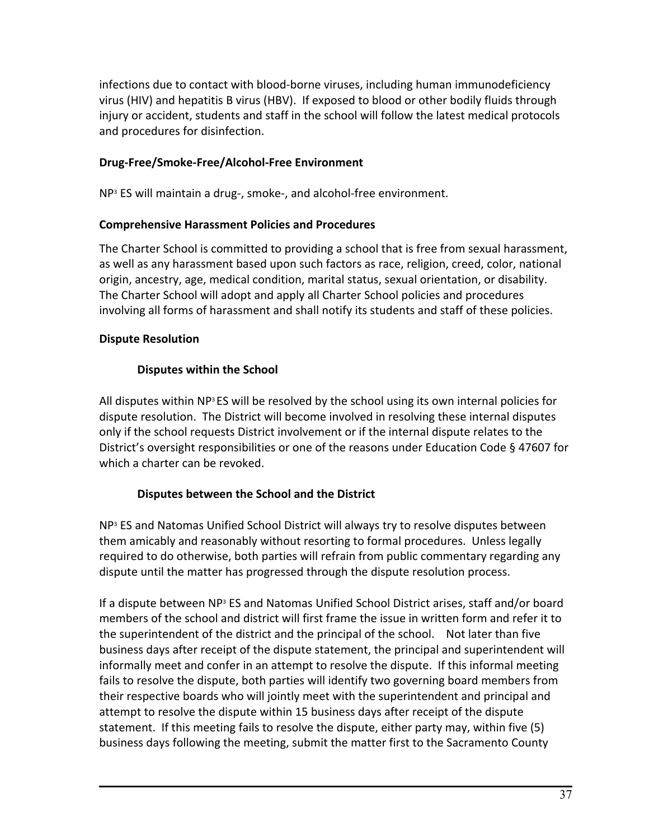infections due to contact with blood-borne viruses, including human immunodeficiency virus (HIV) and hepatitis B virus (HBV). If exposed to blood or other bodily fluids through injury or accident, students and staff in the school will follow the latest medical protocols and procedures for disinfection.

### **Drug-Free/Smoke-Free/Alcohol-Free Environment**

NP<sup>3</sup> ES will maintain a drug-, smoke-, and alcohol-free environment.

### **Comprehensive Harassment Policies and Procedures**

The Charter School is committed to providing a school that is free from sexual harassment, as well as any harassment based upon such factors as race, religion, creed, color, national origin, ancestry, age, medical condition, marital status, sexual orientation, or disability. The Charter School will adopt and apply all Charter School policies and procedures involving all forms of harassment and shall notify its students and staff of these policies.

### **Dispute Resolution**

### **Disputes within the School**

All disputes within  $NP<sup>3</sup>$  ES will be resolved by the school using its own internal policies for dispute resolution. The District will become involved in resolving these internal disputes only if the school requests District involvement or if the internal dispute relates to the District's oversight responsibilities or one of the reasons under Education Code § 47607 for which a charter can be revoked.

### **Disputes between the School and the District**

NP<sup>3</sup> ES and Natomas Unified School District will always try to resolve disputes between them amicably and reasonably without resorting to formal procedures. Unless legally required to do otherwise, both parties will refrain from public commentary regarding any dispute until the matter has progressed through the dispute resolution process.

If a dispute between NP<sup>3</sup> ES and Natomas Unified School District arises, staff and/or board members of the school and district will first frame the issue in written form and refer it to the superintendent of the district and the principal of the school. Not later than five business days after receipt of the dispute statement, the principal and superintendent will informally meet and confer in an attempt to resolve the dispute. If this informal meeting fails to resolve the dispute, both parties will identify two governing board members from their respective boards who will jointly meet with the superintendent and principal and attempt to resolve the dispute within 15 business days after receipt of the dispute statement. If this meeting fails to resolve the dispute, either party may, within five (5) business days following the meeting, submit the matter first to the Sacramento County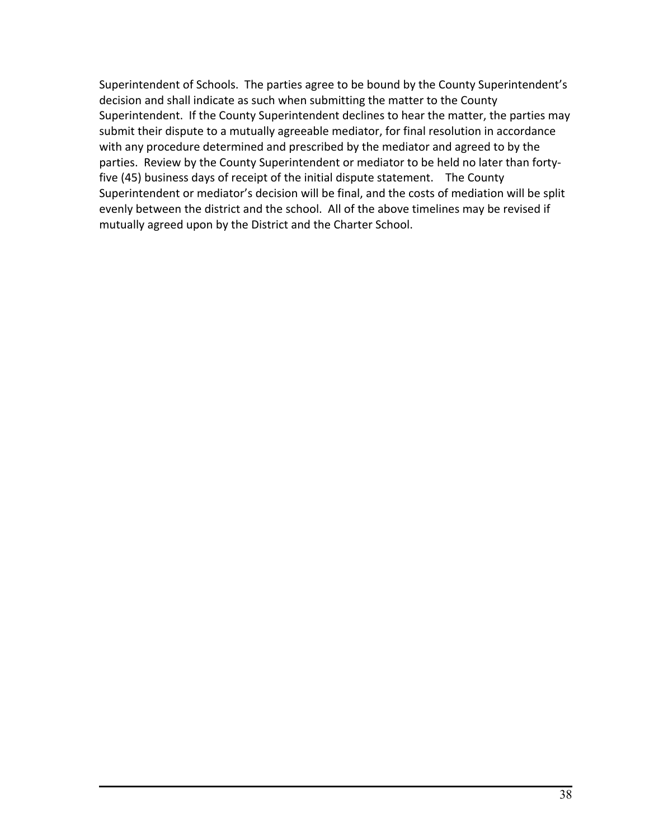Superintendent of Schools. The parties agree to be bound by the County Superintendent's decision and shall indicate as such when submitting the matter to the County Superintendent. If the County Superintendent declines to hear the matter, the parties may submit their dispute to a mutually agreeable mediator, for final resolution in accordance with any procedure determined and prescribed by the mediator and agreed to by the parties. Review by the County Superintendent or mediator to be held no later than fortyfive (45) business days of receipt of the initial dispute statement. The County Superintendent or mediator's decision will be final, and the costs of mediation will be split evenly between the district and the school. All of the above timelines may be revised if mutually agreed upon by the District and the Charter School.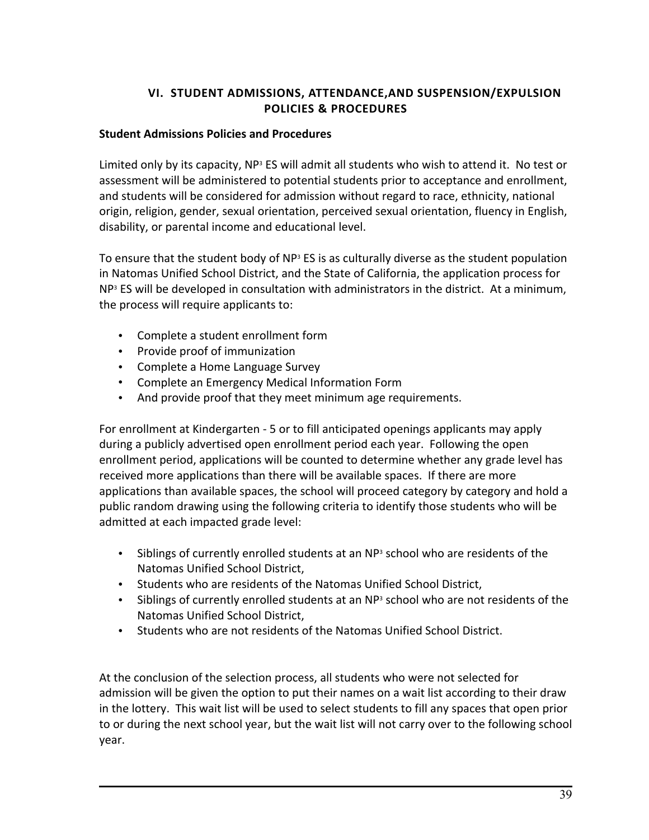## **VI. STUDENT ADMISSIONS, ATTENDANCE,AND SUSPENSION/EXPULSION POLICIES & PROCEDURES**

#### **Student Admissions Policies and Procedures**

Limited only by its capacity, NP<sup>3</sup> ES will admit all students who wish to attend it. No test or assessment will be administered to potential students prior to acceptance and enrollment, and students will be considered for admission without regard to race, ethnicity, national origin, religion, gender, sexual orientation, perceived sexual orientation, fluency in English, disability, or parental income and educational level.

To ensure that the student body of NP<sup>3</sup> ES is as culturally diverse as the student population in Natomas Unified School District, and the State of California, the application process for NP<sup>3</sup> ES will be developed in consultation with administrators in the district. At a minimum, the process will require applicants to:

- Complete a student enrollment form
- Provide proof of immunization
- Complete a Home Language Survey
- Complete an Emergency Medical Information Form
- And provide proof that they meet minimum age requirements.

For enrollment at Kindergarten - 5 or to fill anticipated openings applicants may apply during a publicly advertised open enrollment period each year. Following the open enrollment period, applications will be counted to determine whether any grade level has received more applications than there will be available spaces. If there are more applications than available spaces, the school will proceed category by category and hold a public random drawing using the following criteria to identify those students who will be admitted at each impacted grade level:

- Siblings of currently enrolled students at an NP<sup>3</sup> school who are residents of the Natomas Unified School District,
- Students who are residents of the Natomas Unified School District,
- Siblings of currently enrolled students at an NP<sup>3</sup> school who are not residents of the Natomas Unified School District,
- Students who are not residents of the Natomas Unified School District.

At the conclusion of the selection process, all students who were not selected for admission will be given the option to put their names on a wait list according to their draw in the lottery. This wait list will be used to select students to fill any spaces that open prior to or during the next school year, but the wait list will not carry over to the following school year.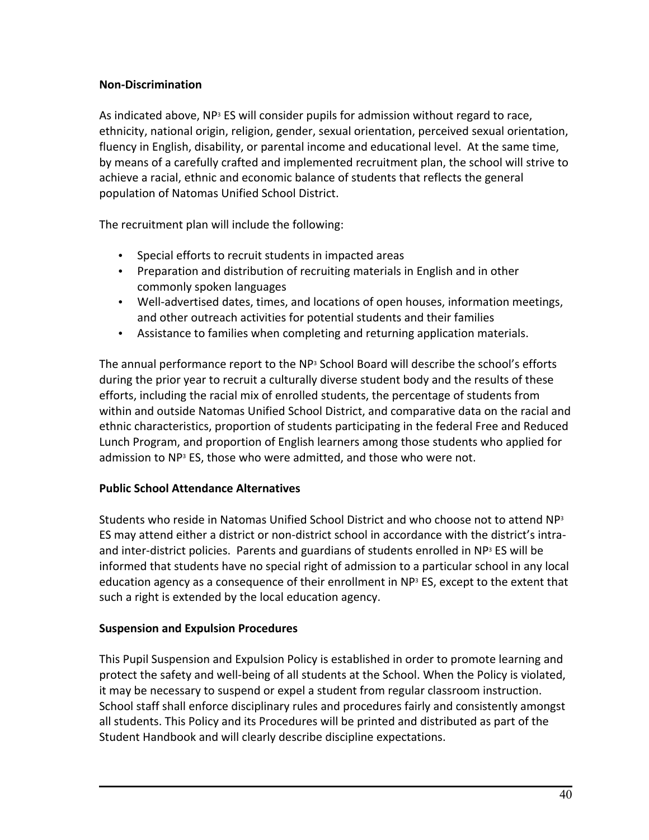### **Non-Discrimination**

As indicated above, NP<sup>3</sup> ES will consider pupils for admission without regard to race, ethnicity, national origin, religion, gender, sexual orientation, perceived sexual orientation, fluency in English, disability, or parental income and educational level. At the same time, by means of a carefully crafted and implemented recruitment plan, the school will strive to achieve a racial, ethnic and economic balance of students that reflects the general population of Natomas Unified School District.

The recruitment plan will include the following:

- Special efforts to recruit students in impacted areas
- Preparation and distribution of recruiting materials in English and in other commonly spoken languages
- Well-advertised dates, times, and locations of open houses, information meetings, and other outreach activities for potential students and their families
- Assistance to families when completing and returning application materials.

The annual performance report to the NP<sup>3</sup> School Board will describe the school's efforts during the prior year to recruit a culturally diverse student body and the results of these efforts, including the racial mix of enrolled students, the percentage of students from within and outside Natomas Unified School District, and comparative data on the racial and ethnic characteristics, proportion of students participating in the federal Free and Reduced Lunch Program, and proportion of English learners among those students who applied for admission to NP<sup>3</sup> ES, those who were admitted, and those who were not.

### **Public School Attendance Alternatives**

Students who reside in Natomas Unified School District and who choose not to attend NP<sup>3</sup> ES may attend either a district or non-district school in accordance with the district's intraand inter-district policies. Parents and guardians of students enrolled in NP<sup>3</sup> ES will be informed that students have no special right of admission to a particular school in any local education agency as a consequence of their enrollment in NP<sup>3</sup> ES, except to the extent that such a right is extended by the local education agency.

### **Suspension and Expulsion Procedures**

This Pupil Suspension and Expulsion Policy is established in order to promote learning and protect the safety and well-being of all students at the School. When the Policy is violated, it may be necessary to suspend or expel a student from regular classroom instruction. School staff shall enforce disciplinary rules and procedures fairly and consistently amongst all students. This Policy and its Procedures will be printed and distributed as part of the Student Handbook and will clearly describe discipline expectations.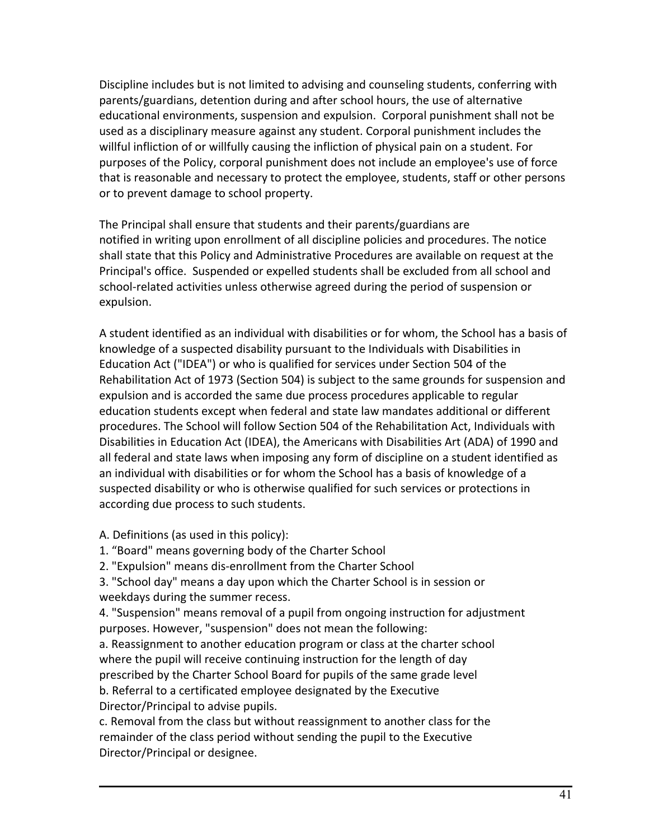Discipline includes but is not limited to advising and counseling students, conferring with parents/guardians, detention during and after school hours, the use of alternative educational environments, suspension and expulsion. Corporal punishment shall not be used as a disciplinary measure against any student. Corporal punishment includes the willful infliction of or willfully causing the infliction of physical pain on a student. For purposes of the Policy, corporal punishment does not include an employee's use of force that is reasonable and necessary to protect the employee, students, staff or other persons or to prevent damage to school property.

The Principal shall ensure that students and their parents/guardians are notified in writing upon enrollment of all discipline policies and procedures. The notice shall state that this Policy and Administrative Procedures are available on request at the Principal's office. Suspended or expelled students shall be excluded from all school and school-related activities unless otherwise agreed during the period of suspension or expulsion.

A student identified as an individual with disabilities or for whom, the School has a basis of knowledge of a suspected disability pursuant to the Individuals with Disabilities in Education Act ("IDEA") or who is qualified for services under Section 504 of the Rehabilitation Act of 1973 (Section 504) is subject to the same grounds for suspension and expulsion and is accorded the same due process procedures applicable to regular education students except when federal and state law mandates additional or different procedures. The School will follow Section 504 of the Rehabilitation Act, Individuals with Disabilities in Education Act (IDEA), the Americans with Disabilities Art (ADA) of 1990 and all federal and state laws when imposing any form of discipline on a student identified as an individual with disabilities or for whom the School has a basis of knowledge of a suspected disability or who is otherwise qualified for such services or protections in according due process to such students.

A. Definitions (as used in this policy):

1. "Board" means governing body of the Charter School

2. "Expulsion" means dis-enrollment from the Charter School

3. "School day" means a day upon which the Charter School is in session or weekdays during the summer recess.

4. "Suspension" means removal of a pupil from ongoing instruction for adjustment purposes. However, "suspension" does not mean the following:

a. Reassignment to another education program or class at the charter school where the pupil will receive continuing instruction for the length of day prescribed by the Charter School Board for pupils of the same grade level b. Referral to a certificated employee designated by the Executive Director/Principal to advise pupils.

c. Removal from the class but without reassignment to another class for the remainder of the class period without sending the pupil to the Executive Director/Principal or designee.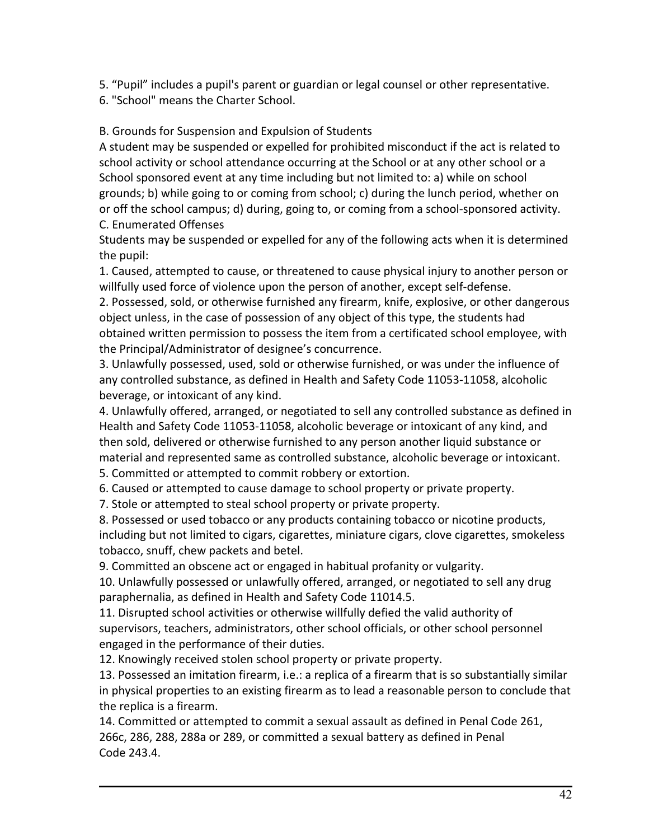5. "Pupil" includes a pupil's parent or guardian or legal counsel or other representative.

6. "School" means the Charter School.

### B. Grounds for Suspension and Expulsion of Students

A student may be suspended or expelled for prohibited misconduct if the act is related to school activity or school attendance occurring at the School or at any other school or a School sponsored event at any time including but not limited to: a) while on school grounds; b) while going to or coming from school; c) during the lunch period, whether on or off the school campus; d) during, going to, or coming from a school-sponsored activity. C. Enumerated Offenses

Students may be suspended or expelled for any of the following acts when it is determined the pupil:

1. Caused, attempted to cause, or threatened to cause physical injury to another person or willfully used force of violence upon the person of another, except self-defense.

2. Possessed, sold, or otherwise furnished any firearm, knife, explosive, or other dangerous object unless, in the case of possession of any object of this type, the students had obtained written permission to possess the item from a certificated school employee, with the Principal/Administrator of designee's concurrence.

3. Unlawfully possessed, used, sold or otherwise furnished, or was under the influence of any controlled substance, as defined in Health and Safety Code 11053-11058, alcoholic beverage, or intoxicant of any kind.

4. Unlawfully offered, arranged, or negotiated to sell any controlled substance as defined in Health and Safety Code 11053-11058, alcoholic beverage or intoxicant of any kind, and then sold, delivered or otherwise furnished to any person another liquid substance or material and represented same as controlled substance, alcoholic beverage or intoxicant.

5. Committed or attempted to commit robbery or extortion.

6. Caused or attempted to cause damage to school property or private property.

7. Stole or attempted to steal school property or private property.

8. Possessed or used tobacco or any products containing tobacco or nicotine products, including but not limited to cigars, cigarettes, miniature cigars, clove cigarettes, smokeless tobacco, snuff, chew packets and betel.

9. Committed an obscene act or engaged in habitual profanity or vulgarity.

10. Unlawfully possessed or unlawfully offered, arranged, or negotiated to sell any drug paraphernalia, as defined in Health and Safety Code 11014.5.

11. Disrupted school activities or otherwise willfully defied the valid authority of supervisors, teachers, administrators, other school officials, or other school personnel engaged in the performance of their duties.

12. Knowingly received stolen school property or private property.

13. Possessed an imitation firearm, i.e.: a replica of a firearm that is so substantially similar in physical properties to an existing firearm as to lead a reasonable person to conclude that the replica is a firearm.

14. Committed or attempted to commit a sexual assault as defined in Penal Code 261, 266c, 286, 288, 288a or 289, or committed a sexual battery as defined in Penal Code 243.4.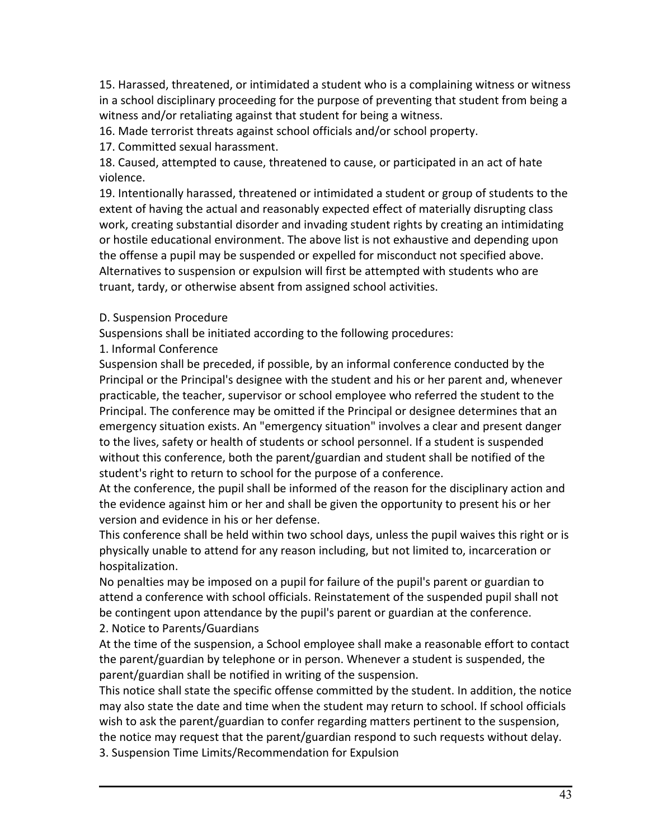15. Harassed, threatened, or intimidated a student who is a complaining witness or witness in a school disciplinary proceeding for the purpose of preventing that student from being a witness and/or retaliating against that student for being a witness.

16. Made terrorist threats against school officials and/or school property.

17. Committed sexual harassment.

18. Caused, attempted to cause, threatened to cause, or participated in an act of hate violence.

19. Intentionally harassed, threatened or intimidated a student or group of students to the extent of having the actual and reasonably expected effect of materially disrupting class work, creating substantial disorder and invading student rights by creating an intimidating or hostile educational environment. The above list is not exhaustive and depending upon the offense a pupil may be suspended or expelled for misconduct not specified above. Alternatives to suspension or expulsion will first be attempted with students who are truant, tardy, or otherwise absent from assigned school activities.

### D. Suspension Procedure

Suspensions shall be initiated according to the following procedures:

1. Informal Conference

Suspension shall be preceded, if possible, by an informal conference conducted by the Principal or the Principal's designee with the student and his or her parent and, whenever practicable, the teacher, supervisor or school employee who referred the student to the Principal. The conference may be omitted if the Principal or designee determines that an emergency situation exists. An "emergency situation" involves a clear and present danger to the lives, safety or health of students or school personnel. If a student is suspended without this conference, both the parent/guardian and student shall be notified of the student's right to return to school for the purpose of a conference.

At the conference, the pupil shall be informed of the reason for the disciplinary action and the evidence against him or her and shall be given the opportunity to present his or her version and evidence in his or her defense.

This conference shall be held within two school days, unless the pupil waives this right or is physically unable to attend for any reason including, but not limited to, incarceration or hospitalization.

No penalties may be imposed on a pupil for failure of the pupil's parent or guardian to attend a conference with school officials. Reinstatement of the suspended pupil shall not be contingent upon attendance by the pupil's parent or guardian at the conference. 2. Notice to Parents/Guardians

At the time of the suspension, a School employee shall make a reasonable effort to contact the parent/guardian by telephone or in person. Whenever a student is suspended, the parent/guardian shall be notified in writing of the suspension.

This notice shall state the specific offense committed by the student. In addition, the notice may also state the date and time when the student may return to school. If school officials wish to ask the parent/guardian to confer regarding matters pertinent to the suspension, the notice may request that the parent/guardian respond to such requests without delay. 3. Suspension Time Limits/Recommendation for Expulsion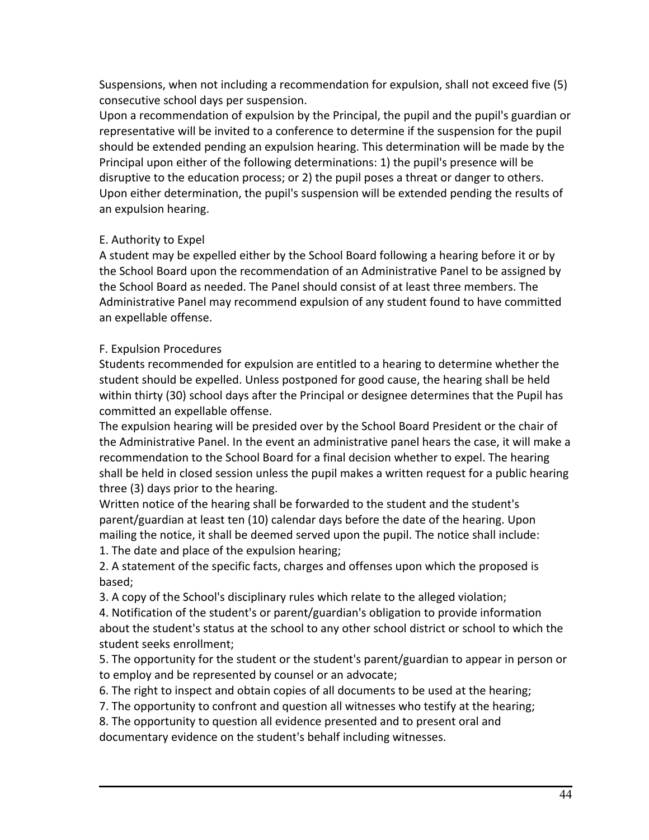Suspensions, when not including a recommendation for expulsion, shall not exceed five (5) consecutive school days per suspension.

Upon a recommendation of expulsion by the Principal, the pupil and the pupil's guardian or representative will be invited to a conference to determine if the suspension for the pupil should be extended pending an expulsion hearing. This determination will be made by the Principal upon either of the following determinations: 1) the pupil's presence will be disruptive to the education process; or 2) the pupil poses a threat or danger to others. Upon either determination, the pupil's suspension will be extended pending the results of an expulsion hearing.

### E. Authority to Expel

A student may be expelled either by the School Board following a hearing before it or by the School Board upon the recommendation of an Administrative Panel to be assigned by the School Board as needed. The Panel should consist of at least three members. The Administrative Panel may recommend expulsion of any student found to have committed an expellable offense.

## F. Expulsion Procedures

Students recommended for expulsion are entitled to a hearing to determine whether the student should be expelled. Unless postponed for good cause, the hearing shall be held within thirty (30) school days after the Principal or designee determines that the Pupil has committed an expellable offense.

The expulsion hearing will be presided over by the School Board President or the chair of the Administrative Panel. In the event an administrative panel hears the case, it will make a recommendation to the School Board for a final decision whether to expel. The hearing shall be held in closed session unless the pupil makes a written request for a public hearing three (3) days prior to the hearing.

Written notice of the hearing shall be forwarded to the student and the student's parent/guardian at least ten (10) calendar days before the date of the hearing. Upon mailing the notice, it shall be deemed served upon the pupil. The notice shall include: 1. The date and place of the expulsion hearing;

2. A statement of the specific facts, charges and offenses upon which the proposed is based;

3. A copy of the School's disciplinary rules which relate to the alleged violation;

4. Notification of the student's or parent/guardian's obligation to provide information about the student's status at the school to any other school district or school to which the student seeks enrollment;

5. The opportunity for the student or the student's parent/guardian to appear in person or to employ and be represented by counsel or an advocate;

6. The right to inspect and obtain copies of all documents to be used at the hearing;

7. The opportunity to confront and question all witnesses who testify at the hearing;

8. The opportunity to question all evidence presented and to present oral and documentary evidence on the student's behalf including witnesses.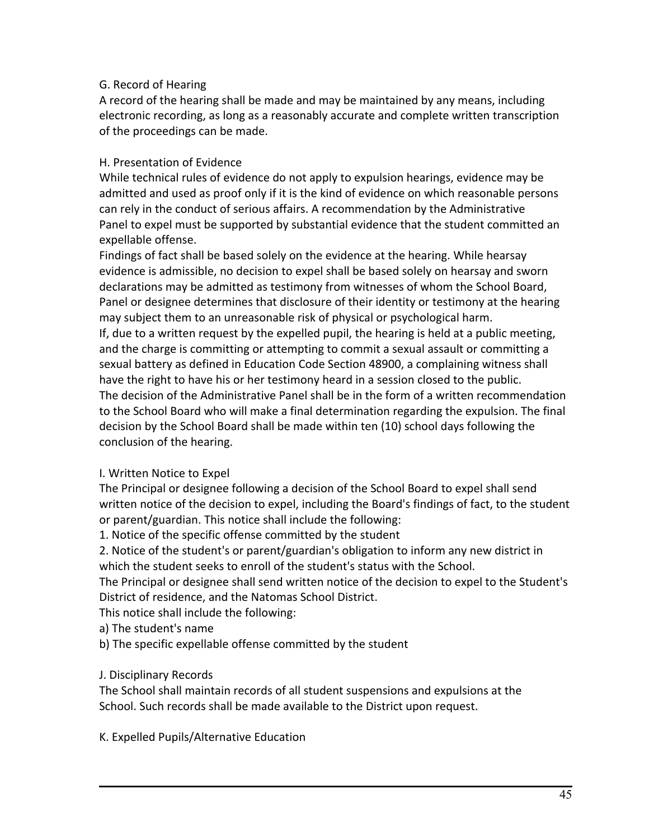### G. Record of Hearing

A record of the hearing shall be made and may be maintained by any means, including electronic recording, as long as a reasonably accurate and complete written transcription of the proceedings can be made.

### H. Presentation of Evidence

While technical rules of evidence do not apply to expulsion hearings, evidence may be admitted and used as proof only if it is the kind of evidence on which reasonable persons can rely in the conduct of serious affairs. A recommendation by the Administrative Panel to expel must be supported by substantial evidence that the student committed an expellable offense.

Findings of fact shall be based solely on the evidence at the hearing. While hearsay evidence is admissible, no decision to expel shall be based solely on hearsay and sworn declarations may be admitted as testimony from witnesses of whom the School Board, Panel or designee determines that disclosure of their identity or testimony at the hearing may subject them to an unreasonable risk of physical or psychological harm. If, due to a written request by the expelled pupil, the hearing is held at a public meeting, and the charge is committing or attempting to commit a sexual assault or committing a sexual battery as defined in Education Code Section 48900, a complaining witness shall have the right to have his or her testimony heard in a session closed to the public. The decision of the Administrative Panel shall be in the form of a written recommendation to the School Board who will make a final determination regarding the expulsion. The final decision by the School Board shall be made within ten (10) school days following the

conclusion of the hearing.

### I. Written Notice to Expel

The Principal or designee following a decision of the School Board to expel shall send written notice of the decision to expel, including the Board's findings of fact, to the student or parent/guardian. This notice shall include the following:

1. Notice of the specific offense committed by the student

2. Notice of the student's or parent/guardian's obligation to inform any new district in which the student seeks to enroll of the student's status with the School.

The Principal or designee shall send written notice of the decision to expel to the Student's District of residence, and the Natomas School District.

This notice shall include the following:

a) The student's name

b) The specific expellable offense committed by the student

## J. Disciplinary Records

The School shall maintain records of all student suspensions and expulsions at the School. Such records shall be made available to the District upon request.

K. Expelled Pupils/Alternative Education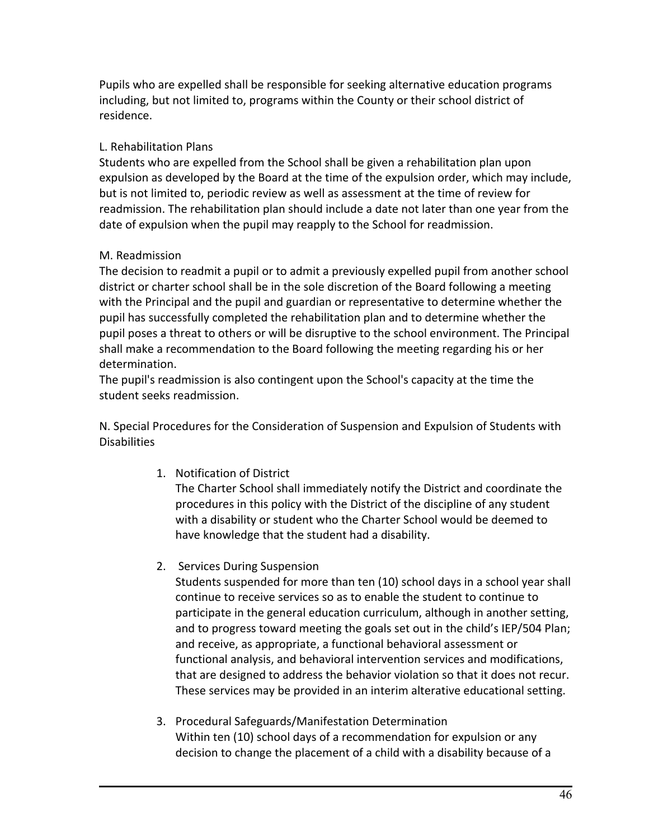Pupils who are expelled shall be responsible for seeking alternative education programs including, but not limited to, programs within the County or their school district of residence.

### L. Rehabilitation Plans

Students who are expelled from the School shall be given a rehabilitation plan upon expulsion as developed by the Board at the time of the expulsion order, which may include, but is not limited to, periodic review as well as assessment at the time of review for readmission. The rehabilitation plan should include a date not later than one year from the date of expulsion when the pupil may reapply to the School for readmission.

### M. Readmission

The decision to readmit a pupil or to admit a previously expelled pupil from another school district or charter school shall be in the sole discretion of the Board following a meeting with the Principal and the pupil and guardian or representative to determine whether the pupil has successfully completed the rehabilitation plan and to determine whether the pupil poses a threat to others or will be disruptive to the school environment. The Principal shall make a recommendation to the Board following the meeting regarding his or her determination.

The pupil's readmission is also contingent upon the School's capacity at the time the student seeks readmission.

N. Special Procedures for the Consideration of Suspension and Expulsion of Students with Disabilities

1. Notification of District

The Charter School shall immediately notify the District and coordinate the procedures in this policy with the District of the discipline of any student with a disability or student who the Charter School would be deemed to have knowledge that the student had a disability.

2. Services During Suspension

Students suspended for more than ten (10) school days in a school year shall continue to receive services so as to enable the student to continue to participate in the general education curriculum, although in another setting, and to progress toward meeting the goals set out in the child's IEP/504 Plan; and receive, as appropriate, a functional behavioral assessment or functional analysis, and behavioral intervention services and modifications, that are designed to address the behavior violation so that it does not recur. These services may be provided in an interim alterative educational setting.

3. Procedural Safeguards/Manifestation Determination Within ten (10) school days of a recommendation for expulsion or any decision to change the placement of a child with a disability because of a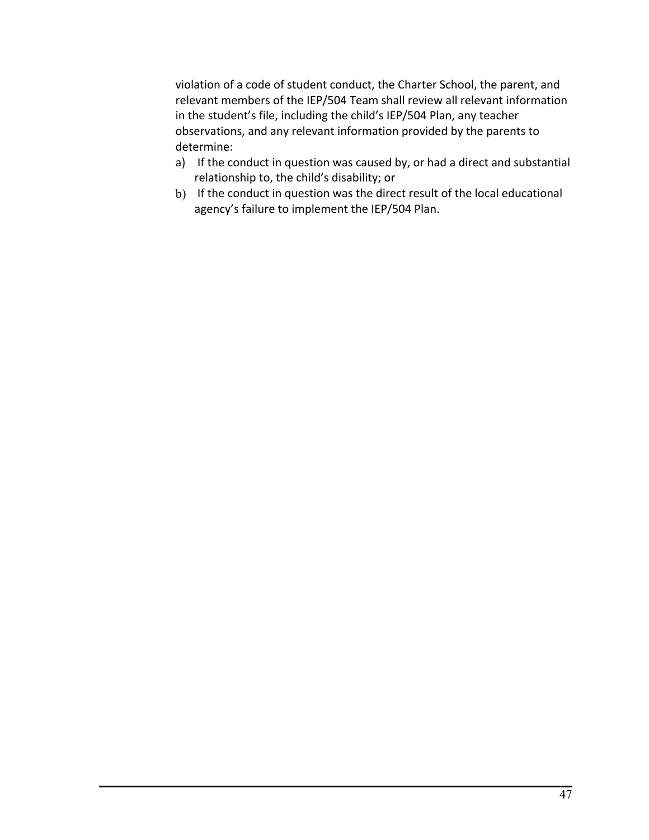violation of a code of student conduct, the Charter School, the parent, and relevant members of the IEP/504 Team shall review all relevant information in the student's file, including the child's IEP/504 Plan, any teacher observations, and any relevant information provided by the parents to determine:

- a) If the conduct in question was caused by, or had a direct and substantial relationship to, the child's disability; or
- b) If the conduct in question was the direct result of the local educational agency's failure to implement the IEP/504 Plan.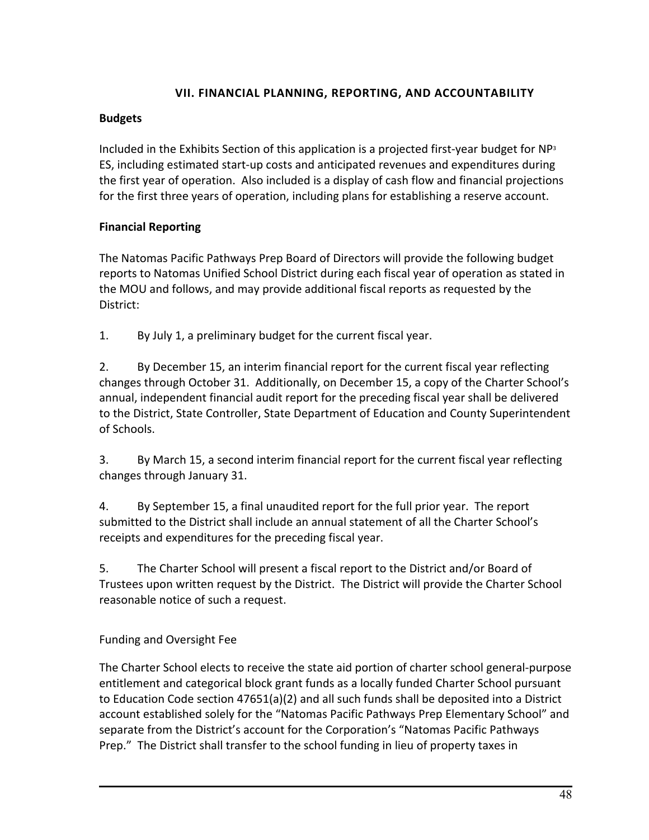### **VII. FINANCIAL PLANNING, REPORTING, AND ACCOUNTABILITY**

#### **Budgets**

Included in the Exhibits Section of this application is a projected first-year budget for  $NP<sup>3</sup>$ ES, including estimated start-up costs and anticipated revenues and expenditures during the first year of operation. Also included is a display of cash flow and financial projections for the first three years of operation, including plans for establishing a reserve account.

### **Financial Reporting**

The Natomas Pacific Pathways Prep Board of Directors will provide the following budget reports to Natomas Unified School District during each fiscal year of operation as stated in the MOU and follows, and may provide additional fiscal reports as requested by the District:

1. By July 1, a preliminary budget for the current fiscal year.

2. By December 15, an interim financial report for the current fiscal year reflecting changes through October 31. Additionally, on December 15, a copy of the Charter School's annual, independent financial audit report for the preceding fiscal year shall be delivered to the District, State Controller, State Department of Education and County Superintendent of Schools.

3. By March 15, a second interim financial report for the current fiscal year reflecting changes through January 31.

4. By September 15, a final unaudited report for the full prior year. The report submitted to the District shall include an annual statement of all the Charter School's receipts and expenditures for the preceding fiscal year.

5. The Charter School will present a fiscal report to the District and/or Board of Trustees upon written request by the District. The District will provide the Charter School reasonable notice of such a request.

### Funding and Oversight Fee

The Charter School elects to receive the state aid portion of charter school general-purpose entitlement and categorical block grant funds as a locally funded Charter School pursuant to Education Code section 47651(a)(2) and all such funds shall be deposited into a District account established solely for the "Natomas Pacific Pathways Prep Elementary School" and separate from the District's account for the Corporation's "Natomas Pacific Pathways Prep." The District shall transfer to the school funding in lieu of property taxes in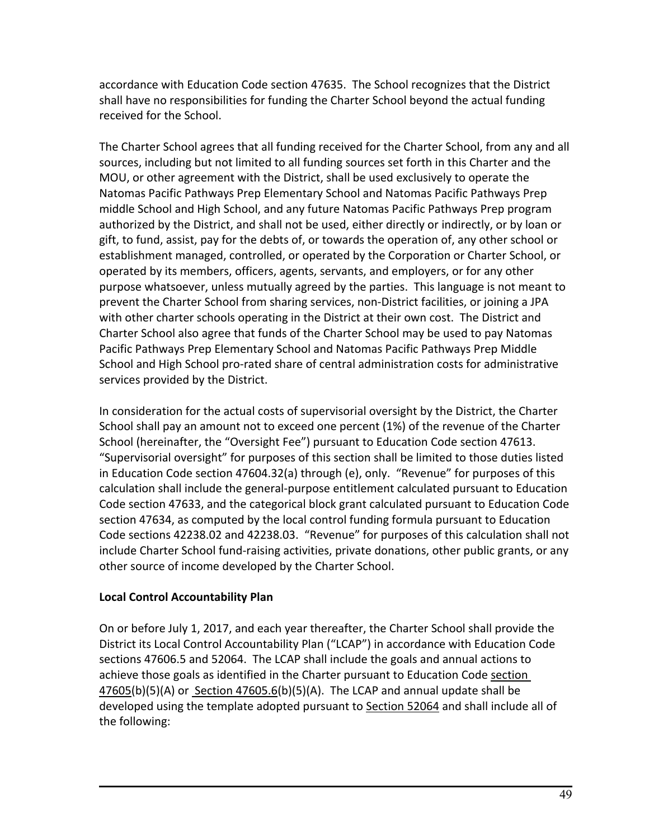accordance with Education Code section 47635. The School recognizes that the District shall have no responsibilities for funding the Charter School beyond the actual funding received for the School.

The Charter School agrees that all funding received for the Charter School, from any and all sources, including but not limited to all funding sources set forth in this Charter and the MOU, or other agreement with the District, shall be used exclusively to operate the Natomas Pacific Pathways Prep Elementary School and Natomas Pacific Pathways Prep middle School and High School, and any future Natomas Pacific Pathways Prep program authorized by the District, and shall not be used, either directly or indirectly, or by loan or gift, to fund, assist, pay for the debts of, or towards the operation of, any other school or establishment managed, controlled, or operated by the Corporation or Charter School, or operated by its members, officers, agents, servants, and employers, or for any other purpose whatsoever, unless mutually agreed by the parties. This language is not meant to prevent the Charter School from sharing services, non-District facilities, or joining a JPA with other charter schools operating in the District at their own cost. The District and Charter School also agree that funds of the Charter School may be used to pay Natomas Pacific Pathways Prep Elementary School and Natomas Pacific Pathways Prep Middle School and High School pro-rated share of central administration costs for administrative services provided by the District.

In consideration for the actual costs of supervisorial oversight by the District, the Charter School shall pay an amount not to exceed one percent (1%) of the revenue of the Charter School (hereinafter, the "Oversight Fee") pursuant to Education Code section 47613. "Supervisorial oversight" for purposes of this section shall be limited to those duties listed in Education Code section 47604.32(a) through (e), only. "Revenue" for purposes of this calculation shall include the general-purpose entitlement calculated pursuant to Education Code section 47633, and the categorical block grant calculated pursuant to Education Code section 47634, as computed by the local control funding formula pursuant to Education Code sections 42238.02 and 42238.03. "Revenue" for purposes of this calculation shall not include Charter School fund-raising activities, private donations, other public grants, or any other source of income developed by the Charter School.

## **Local Control Accountability Plan**

On or before July 1, 2017, and each year thereafter, the Charter School shall provide the District its Local Control Accountability Plan ("LCAP") in accordance with Education Code sections 47606.5 and 52064. The LCAP shall include the goals and annual actions to achieve those goals as identified in the Charter pursuant to Education Code section  $47605(b)(5)(A)$  or Section  $47605.6(b)(5)(A)$ . The LCAP and annual update shall be developed using the template adopted pursuant to Section 52064 and shall include all of the following: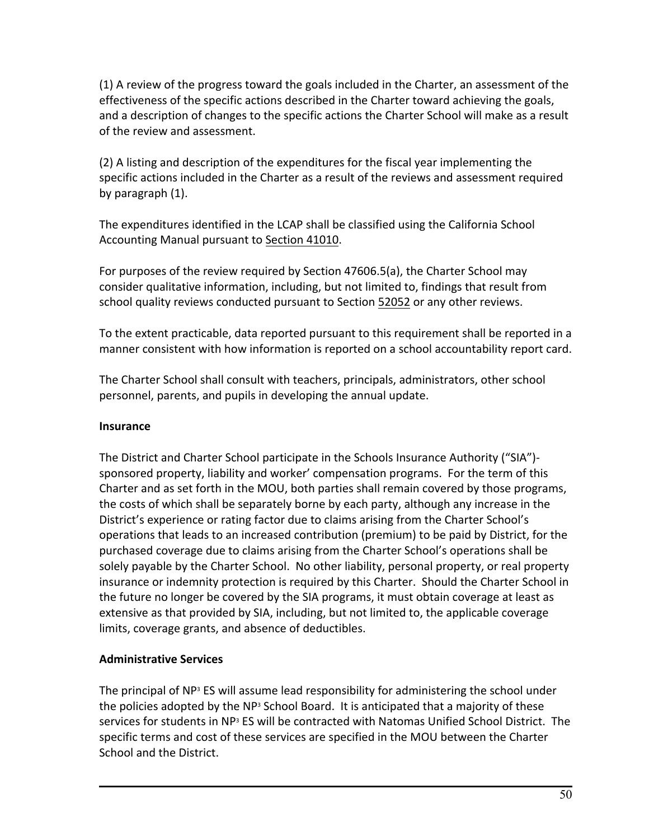(1) A review of the progress toward the goals included in the Charter, an assessment of the effectiveness of the specific actions described in the Charter toward achieving the goals, and a description of changes to the specific actions the Charter School will make as a result of the review and assessment.

(2) A listing and description of the expenditures for the fiscal year implementing the specific actions included in the Charter as a result of the reviews and assessment required by paragraph (1).

The expenditures identified in the LCAP shall be classified using the California School Accounting Manual pursuant to Section 41010.

For purposes of the review required by Section 47606.5(a), the Charter School may consider qualitative information, including, but not limited to, findings that result from school quality reviews conducted pursuant to Section 52052 or any other reviews.

To the extent practicable, data reported pursuant to this requirement shall be reported in a manner consistent with how information is reported on a school accountability report card.

The Charter School shall consult with teachers, principals, administrators, other school personnel, parents, and pupils in developing the annual update.

## **Insurance**

The District and Charter School participate in the Schools Insurance Authority ("SIA") sponsored property, liability and worker' compensation programs. For the term of this Charter and as set forth in the MOU, both parties shall remain covered by those programs, the costs of which shall be separately borne by each party, although any increase in the District's experience or rating factor due to claims arising from the Charter School's operations that leads to an increased contribution (premium) to be paid by District, for the purchased coverage due to claims arising from the Charter School's operations shall be solely payable by the Charter School. No other liability, personal property, or real property insurance or indemnity protection is required by this Charter. Should the Charter School in the future no longer be covered by the SIA programs, it must obtain coverage at least as extensive as that provided by SIA, including, but not limited to, the applicable coverage limits, coverage grants, and absence of deductibles.

## **Administrative Services**

The principal of NP<sup>3</sup> ES will assume lead responsibility for administering the school under the policies adopted by the NP<sup>3</sup> School Board. It is anticipated that a majority of these services for students in NP<sup>3</sup> ES will be contracted with Natomas Unified School District. The specific terms and cost of these services are specified in the MOU between the Charter School and the District.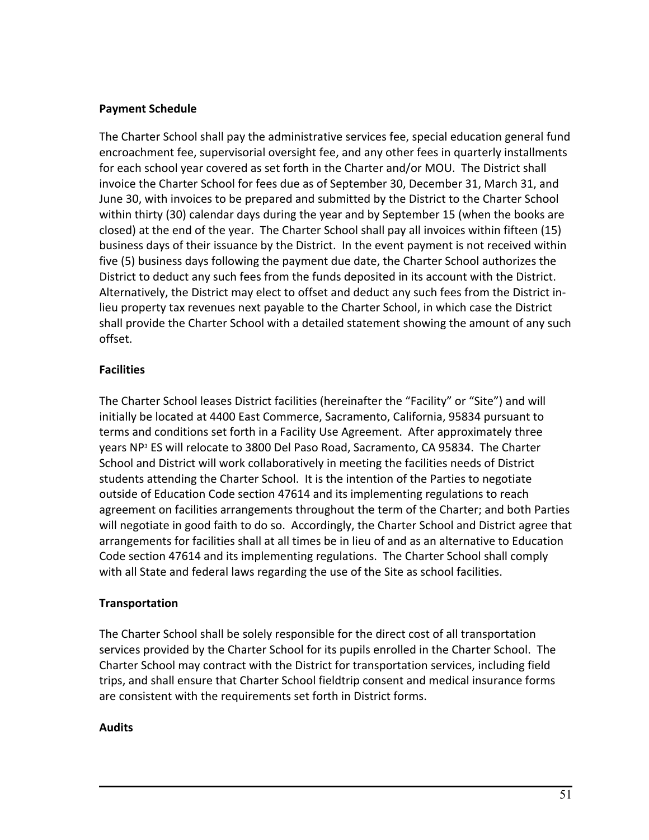### **Payment Schedule**

The Charter School shall pay the administrative services fee, special education general fund encroachment fee, supervisorial oversight fee, and any other fees in quarterly installments for each school year covered as set forth in the Charter and/or MOU. The District shall invoice the Charter School for fees due as of September 30, December 31, March 31, and June 30, with invoices to be prepared and submitted by the District to the Charter School within thirty (30) calendar days during the year and by September 15 (when the books are closed) at the end of the year. The Charter School shall pay all invoices within fifteen (15) business days of their issuance by the District. In the event payment is not received within five (5) business days following the payment due date, the Charter School authorizes the District to deduct any such fees from the funds deposited in its account with the District. Alternatively, the District may elect to offset and deduct any such fees from the District inlieu property tax revenues next payable to the Charter School, in which case the District shall provide the Charter School with a detailed statement showing the amount of any such offset.

### **Facilities**

The Charter School leases District facilities (hereinafter the "Facility" or "Site") and will initially be located at 4400 East Commerce, Sacramento, California, 95834 pursuant to terms and conditions set forth in a Facility Use Agreement. After approximately three years NP<sup>3</sup> ES will relocate to 3800 Del Paso Road, Sacramento, CA 95834. The Charter School and District will work collaboratively in meeting the facilities needs of District students attending the Charter School. It is the intention of the Parties to negotiate outside of Education Code section 47614 and its implementing regulations to reach agreement on facilities arrangements throughout the term of the Charter; and both Parties will negotiate in good faith to do so. Accordingly, the Charter School and District agree that arrangements for facilities shall at all times be in lieu of and as an alternative to Education Code section 47614 and its implementing regulations. The Charter School shall comply with all State and federal laws regarding the use of the Site as school facilities.

### **Transportation**

The Charter School shall be solely responsible for the direct cost of all transportation services provided by the Charter School for its pupils enrolled in the Charter School. The Charter School may contract with the District for transportation services, including field trips, and shall ensure that Charter School fieldtrip consent and medical insurance forms are consistent with the requirements set forth in District forms.

## **Audits**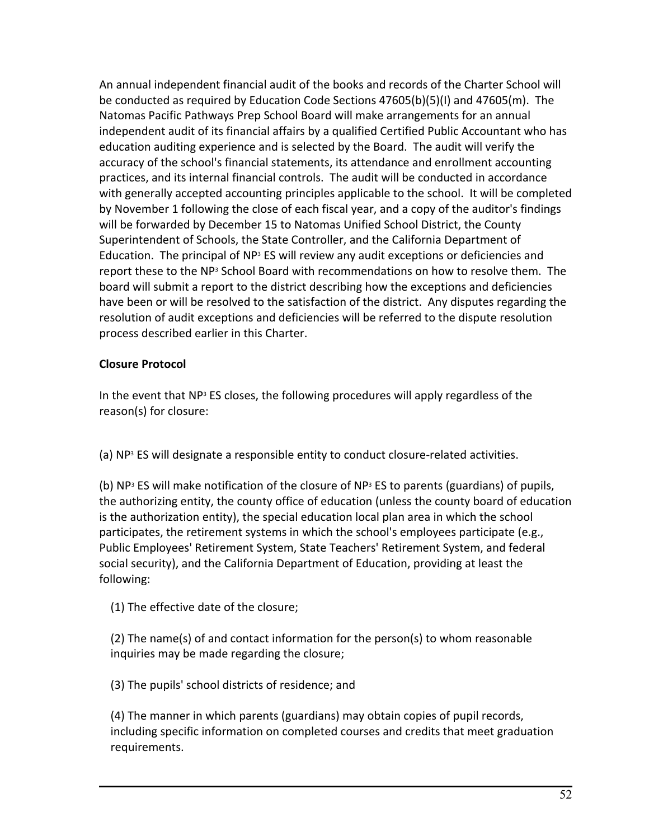An annual independent financial audit of the books and records of the Charter School will be conducted as required by Education Code Sections 47605(b)(5)(I) and 47605(m). The Natomas Pacific Pathways Prep School Board will make arrangements for an annual independent audit of its financial affairs by a qualified Certified Public Accountant who has education auditing experience and is selected by the Board. The audit will verify the accuracy of the school's financial statements, its attendance and enrollment accounting practices, and its internal financial controls. The audit will be conducted in accordance with generally accepted accounting principles applicable to the school. It will be completed by November 1 following the close of each fiscal year, and a copy of the auditor's findings will be forwarded by December 15 to Natomas Unified School District, the County Superintendent of Schools, the State Controller, and the California Department of Education. The principal of NP<sup>3</sup> ES will review any audit exceptions or deficiencies and report these to the NP<sup>3</sup> School Board with recommendations on how to resolve them. The board will submit a report to the district describing how the exceptions and deficiencies have been or will be resolved to the satisfaction of the district. Any disputes regarding the resolution of audit exceptions and deficiencies will be referred to the dispute resolution process described earlier in this Charter.

### **Closure Protocol**

In the event that NP<sup>3</sup> ES closes, the following procedures will apply regardless of the reason(s) for closure:

(a) NP<sup>3</sup> ES will designate a responsible entity to conduct closure-related activities.

(b) NP<sup>3</sup> ES will make notification of the closure of NP<sup>3</sup> ES to parents (guardians) of pupils, the authorizing entity, the county office of education (unless the county board of education is the authorization entity), the special education local plan area in which the school participates, the retirement systems in which the school's employees participate (e.g., Public Employees' Retirement System, State Teachers' Retirement System, and federal social security), and the California Department of Education, providing at least the following:

(1) The effective date of the closure;

(2) The name(s) of and contact information for the person(s) to whom reasonable inquiries may be made regarding the closure;

(3) The pupils' school districts of residence; and

(4) The manner in which parents (guardians) may obtain copies of pupil records, including specific information on completed courses and credits that meet graduation requirements.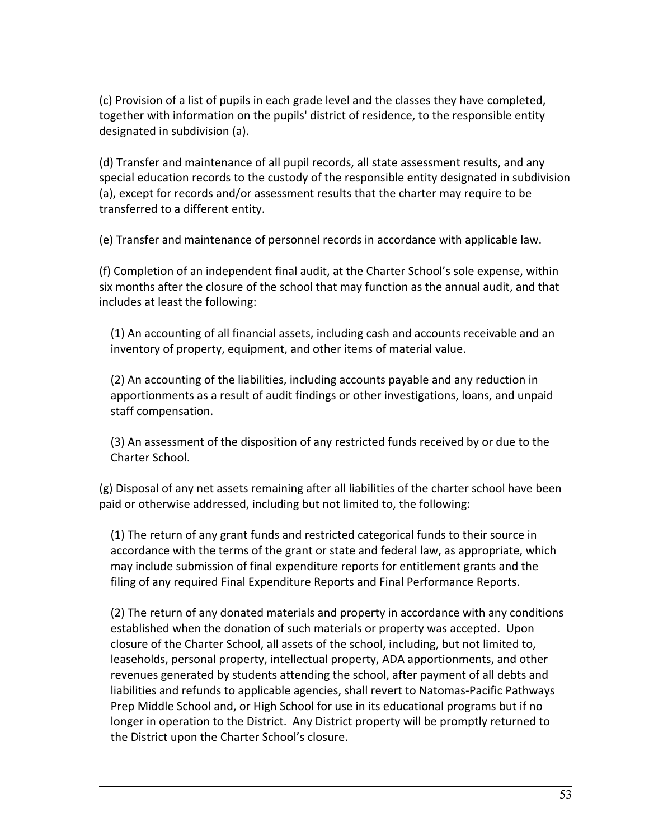(c) Provision of a list of pupils in each grade level and the classes they have completed, together with information on the pupils' district of residence, to the responsible entity designated in subdivision (a).

(d) Transfer and maintenance of all pupil records, all state assessment results, and any special education records to the custody of the responsible entity designated in subdivision (a), except for records and/or assessment results that the charter may require to be transferred to a different entity.

(e) Transfer and maintenance of personnel records in accordance with applicable law.

(f) Completion of an independent final audit, at the Charter School's sole expense, within six months after the closure of the school that may function as the annual audit, and that includes at least the following:

(1) An accounting of all financial assets, including cash and accounts receivable and an inventory of property, equipment, and other items of material value.

(2) An accounting of the liabilities, including accounts payable and any reduction in apportionments as a result of audit findings or other investigations, loans, and unpaid staff compensation.

(3) An assessment of the disposition of any restricted funds received by or due to the Charter School.

(g) Disposal of any net assets remaining after all liabilities of the charter school have been paid or otherwise addressed, including but not limited to, the following:

(1) The return of any grant funds and restricted categorical funds to their source in accordance with the terms of the grant or state and federal law, as appropriate, which may include submission of final expenditure reports for entitlement grants and the filing of any required Final Expenditure Reports and Final Performance Reports.

(2) The return of any donated materials and property in accordance with any conditions established when the donation of such materials or property was accepted. Upon closure of the Charter School, all assets of the school, including, but not limited to, leaseholds, personal property, intellectual property, ADA apportionments, and other revenues generated by students attending the school, after payment of all debts and liabilities and refunds to applicable agencies, shall revert to Natomas-Pacific Pathways Prep Middle School and, or High School for use in its educational programs but if no longer in operation to the District. Any District property will be promptly returned to the District upon the Charter School's closure.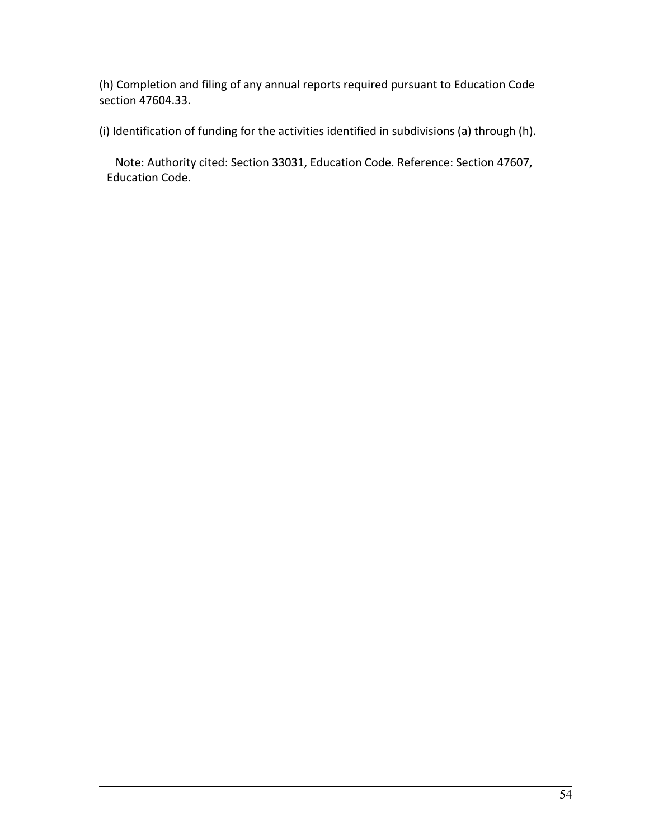(h) Completion and filing of any annual reports required pursuant to Education Code section 47604.33.

(i) Identification of funding for the activities identified in subdivisions (a) through (h).

 Note: Authority cited: Section 33031, Education Code. Reference: Section 47607, Education Code.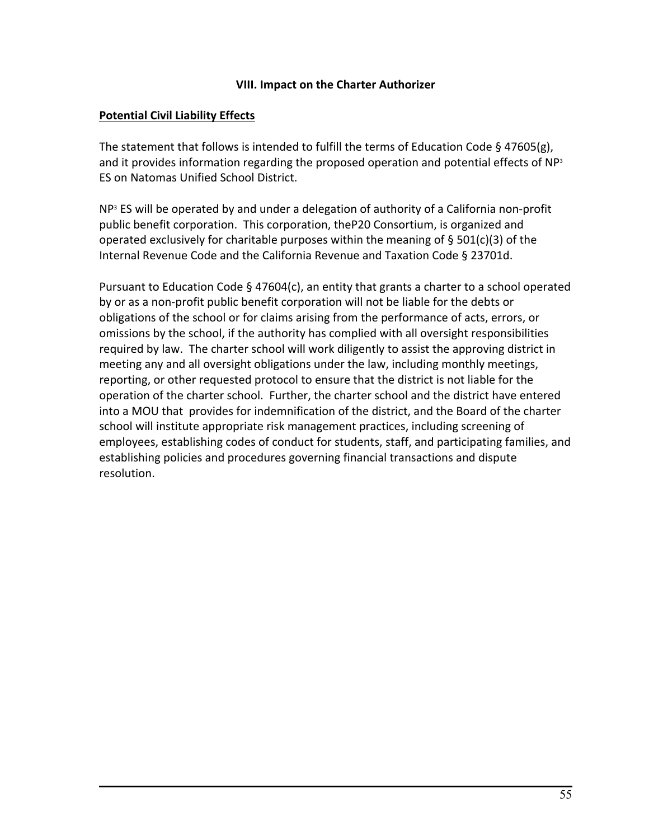#### **VIII. Impact on the Charter Authorizer**

#### **Potential Civil Liability Effects**

The statement that follows is intended to fulfill the terms of Education Code § 47605(g), and it provides information regarding the proposed operation and potential effects of  $NP<sup>3</sup>$ ES on Natomas Unified School District.

NP<sup>3</sup> ES will be operated by and under a delegation of authority of a California non-profit public benefit corporation. This corporation, theP20 Consortium, is organized and operated exclusively for charitable purposes within the meaning of  $\S$  501(c)(3) of the Internal Revenue Code and the California Revenue and Taxation Code § 23701d.

Pursuant to Education Code § 47604(c), an entity that grants a charter to a school operated by or as a non-profit public benefit corporation will not be liable for the debts or obligations of the school or for claims arising from the performance of acts, errors, or omissions by the school, if the authority has complied with all oversight responsibilities required by law. The charter school will work diligently to assist the approving district in meeting any and all oversight obligations under the law, including monthly meetings, reporting, or other requested protocol to ensure that the district is not liable for the operation of the charter school. Further, the charter school and the district have entered into a MOU that provides for indemnification of the district, and the Board of the charter school will institute appropriate risk management practices, including screening of employees, establishing codes of conduct for students, staff, and participating families, and establishing policies and procedures governing financial transactions and dispute resolution.